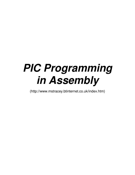# *PIC Programming in Assembly*

(http://www.mstracey.btinternet.co.uk/index.htm)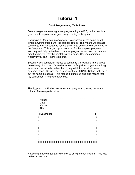# **Tutorial 1**

# **Good Programming Techniques.**

Before we get to the nitty gritty of programming the PIC, I think now is a good time to explain some good programming techniques.

If you type a ; (semicolon) anywhere in your program, the compiler will ignore anything after it until the carriage return. This means we can add comments in our program to remind us of what on earth we were doing in the first place. This is good practice, even for the simplest programs. You may well fully understand how your program works now, but in a few months time, you may be scratching your head. So, use comments wherever you can – there is no limit.

Secondly, you can assign names to constants via registers (more about these later). It makes it far easier to read in English what you are writing to, or what the value is, rather than trying to think of what all these numbers mean. So, use real names, such as COUNT. Notice that I have put the name in capitals. This makes it stand out, and also means that (by convention) it is a constant value.

Thirdly, put some kind of header on your programs by using the semicolons. An example is below:

| ; Author:<br>; Date :                                  |  |
|--------------------------------------------------------|--|
| ; Version:<br>; Title:                                 |  |
| ; Description:                                         |  |
|                                                        |  |
|                                                        |  |
|                                                        |  |
|                                                        |  |
| ,,,,<br>,,,,,,,<br>,,,,<br>,,,<br>,,,<br>,,,,,,,<br>п. |  |

Notice that I have made a kind of box by using the semi-colons. This just makes it look neat.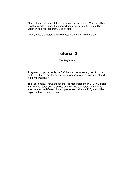Finally, try and document the program on paper as well. You can either use flow charts or algorithms or anything else you want. This will help you in writing your program, step by step.

Right, that's the lecture over with, lets move on to the real stuff.

# **Tutorial 2**

**The Registers.**

A register is a place inside the PIC that can be written to, read from or both. Think of a register as a piece of paper where you can look at and write information on.

The figure below shows the register file map inside the PIC16F84. Don't worry if you haven't come across anything like this before, it is only to show where the different bits and pieces are inside the PIC, and will help explain a few of the commands.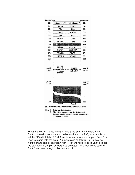

First thing you will notice is that it is split into two - Bank 0 and Bank 1. Bank 1 is used to control the actual operation of the PIC, for example to tell the PIC which bits of Port A are input and which are output. Bank 0 is used to manipulate the data. An example is as follows: Let us say we want to make one bit on Port A high. First we need to go to Bank 1 to set the particular bit, or pin, on Port A as an output. We then come back to Bank 0 and send a logic 1 (bit 1) to that pin.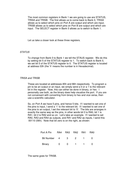The most common registers in Bank 1 we are going to use are STATUS, TRISA and TRISB. The first allows us to come back to Bank 0, TRISA allows us to select which pins on Port A are output and which are input, TRISB allows us to select which pins on Port B are output and which are input. The SELECT register in Bank 0 allows us to switch to Bank 1.

Let us take a closer look at these three registers.

# *STATUS*

To change from Bank 0 to Bank 1 we tell the STAUS register. We do this by setting bit 5 of the STATUS register to 1. To switch back to Bank 0, we set bit 5 of the STATUS register to 0. The STATUS register is located at address 03h (the 'h' means the number is in Hexadecimal).

## *TRISA and TRISB.*

These are located at addresses 85h and 86h respectively. To program a pin to be an output or an input, we simply send a 0 or a 1 to the relevant bit in the register. Now, this can either be done in binary, or hex. I personally use both, as the binary does help visualize the port. If you are not conversant with converting from binary to hex and vice versa, then use a scientific calculator.

So, on Port A we have 5 pins, and hence 5 bits. If I wanted to set one of the pins to input, I send a '1' to the relevant bit. If I wanted to set one of the pins to an output, I set the relevant bit to '0'. The bits are arranges in exactly the same way as the pins, in other words bit 0 is RA0, bit 1 is RA1, bit 2 is RA2 and so on. Let's take an example. If I wanted to set RA0, RA3 and RA4 as outputs, and RA1 and RA2 as inputs, I send this: 00110 (06h). Note that bit zero is on the right, as shown:

| Port A Pin     |   |          | RA4 RA3 RA2 RA1 RA0 |                  |   |
|----------------|---|----------|---------------------|------------------|---|
| Bit Number 4 3 |   |          | $\overline{2}$      | $\overline{1}$   | n |
| Binary         | 0 | $\Omega$ | $\blacksquare$ 1    | $\blacksquare$ 1 |   |

The same goes for TRISB.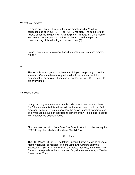## *PORTA and PORTB*

To send one of our output pins high, we simply send a '1' to the corresponding bit in our PORTA or PORTB register. The same format follows as for the TRISA and TRISB registers. To read if a pin is high or low on our port pins, we can perform a check to see if the particular corresponding bit is set to high (1) or set to low (0)

Before I give an example code, I need to explain just two more register – w and f.

### *W*

The W register is a general register in which you can put any value that you wish. Once you have assigned a value to W, you can add it to another value, or move it. If you assign another value to W, its contents are overwritten.

An Example Code.

I am going to give you some example code on what we have just learnt. Don't try and compile this yet, we will do that when we come to our first program. I am just trying to show how the above is actually programmed and introduce a couple of instructions along the way. I am going to set up Port A as per the example above.

First, we need to switch from Bank 0 to Bank 1. We do this by setting the STATUS register, which is at address 03h, bit 5 to 1.

### BSF 03h,5

The BSF Means Bit Set F. The letter F means that we are going to use a memory location, or register. We are using two numbers after this instruction – 03h, which is the STATUS register address, and the number 5 which corresponds to the bit number. So, what we are saying is "Set bit 5 in address 03h to 1".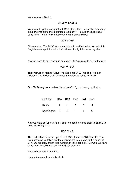We are now in Bank 1.

# MOVLW b'00110'

We are putting the binary value 00110 (the letter b means the number is in binary) into our general purpose register W. I could of course have done this in hex, in which case our instruction would be:

## MOVLW 06h

Either works. The MOVLW means 'Move Literal Value Into W', which in English means put the value that follows directly into the W register.

Now we need to put this value onto our TRISA register to set up the port:

### MOVWF 85h

This instruction means "Move The Contents Of W Into The Register Address That Follows", in this case the address points to TRISA.

Our TRISA register now has the value 00110, or shown graphically:

| Port A Pin     |     |                | RA4 RA3 RA2 RA1                   |                  | RA0 |
|----------------|-----|----------------|-----------------------------------|------------------|-----|
| Binary         | - 0 | $\Omega$       | $\blacksquare$ 1                  | $\blacksquare$ 1 | n   |
| Input/Output O |     | $\overline{O}$ | the company of the company of the |                  |     |

Now we have set up our Port A pins, we need to come back to Bank 0 to manipulate any data.

### BCF 03h,5

This instruction does the opposite of BSF. It means "Bit Clear F". The two numbers that follow are the address of the register, in this case the STATUS register, and the bit number, in this case bit 5. So what we have done now is set bit 5 on our STAUS register to 0

We are now back in Bank 0.

Here is the code in a single block: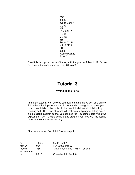**BSF** 03h,5 ;Go to Bank 1 **MOVLW** 06h ;Put 00110 into W MOVWF 85h ;Move 00110 onto TRISA BCF 03h,5 ;Come back to Bank 0

Read this through a couple of times, until it is you can follow it. So far we have looked at 4 instructions. Only 31 to go!

# **Tutorial 3**

# **Writing To the Ports.**

In the last tutorial, we I showed you how to set up the IO port pins on the PIC to be either input or output. In this tutorial, I am going to show you how to send data to the ports. In the next tutorial, we will finish off by flashing an LED on and off which will include a full program listing and a simple circuit diagram so that you can see the PIC doing exactly what we expect it to. Don't try and compile and program your PIC with the listings here, as they are examples only.

First, let us set up Port A bit 2 as an output:

| bsf           | 03h.5  | :Go to Bank 1                     |
|---------------|--------|-----------------------------------|
| movlw         | 00h    | :Put 00000 into W                 |
| movwf         | 85h    | ;Move 00000 onto TRISA - all pins |
| set to output |        |                                   |
| bcf           | 03h, 5 | :Come back to Bank 0              |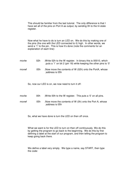This should be familiar from the last tutorial. The only difference is that I have set all of the pins on Port A as output, by sending 0h to the tri-state register.

Now what he have to do is turn an LED on. We do this by making one of the pins (the one with the LED connected to it) high. In other words, we send a '1' to the pin. This is how it's done (note the comments for an explanation of each line):

| movlw | 02h | : Write 02h to the W register. In binary this is 00010, which<br>puts a '1' on bit 2 (pin 18) while keeping the other pins to '0' |
|-------|-----|-----------------------------------------------------------------------------------------------------------------------------------|
| movwf | 05h | ;Now move the contents of W (02h) onto the PortA, whose<br>:address is 05h                                                        |

So, now our LED is on, we now need to turn it off:

- movlw 00h ;Write 00h to the W register. This puts a '0' on all pins.
- movwf 05h ;Now move the contents of W (0h) onto the Port A, whose ;address is 05h

So, what we have done is turn the LED on then off once.

What we want is for the LED to turn on then off continuously. We do this by getting the program to go back to the beginning. We do this by first defining a label at the start of our program, and then telling the program to keep going back there.

We define a label very simply. We type a name, say START, then type the code: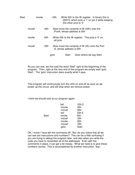| <b>Start</b> |       | movlw | 02h        | the other pins to '0'        | ;Write 02h to the W register. In binary this is | ;00010, which puts a '1' on pin 2 while keeping |
|--------------|-------|-------|------------|------------------------------|-------------------------------------------------|-------------------------------------------------|
|              | movwf | 05h   |            | :PortA, whose address is 05h | ;Now move the contents of W (02h) onto the      |                                                 |
|              | movlw | 00h   | ;all pins. |                              | Write 00h to the W register. This puts a '0' on |                                                 |
|              | movwf | 05h   |            | :A, whose address is 05h     | ;Now move the contents of W (0h) onto the Port  |                                                 |
|              |       |       | goto       | Start                        | ;Goto where we say Start                        |                                                 |

As you can see, we first said the word 'Start' right at the beginning of the program. Then, right at the very end of the program we simply said 'goto Start'. The 'goto' instruction does exactly what it says.

This program will continuously turn the LED on and off as soon as we power up the circuit, and will stop when we remove power.

I think we should look at our program again:

|              | bsf   | 03h,5        |
|--------------|-------|--------------|
|              | movlw | 00h          |
|              | movwf | 85h          |
|              | bcf   | 03h,5        |
| <b>Start</b> | movlw | 02h          |
|              | movwf | 05h          |
|              | movlw | 00h          |
|              | movwf | 05h          |
|              | qoto  | <b>Start</b> |

OK, I know I have left the comments off. But, do you notice that all we can see are instructions and numbers? This can be a little confusing if you are trying to debug the program later, and also when you write the code you have to remember all of the addresses. Even with the comments in place, it can get a bit messy. What we need is to give these numbers names. This is accomplished by another instruction: 'equ'.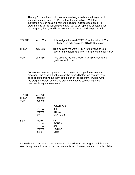The 'equ' instruction simply means something equals something else. It is not an instruction for the PIC, but for the assembler. With this instruction we can assign a name to a register address location, or in programming terms assign a constant. Let us set up some constants for our program, then you will see how much easier to read the program is.

| <b>STATUS</b> | equ 03h | this assigns the word STATUS to the value of 03h,<br>; which is the address of the STATUS register.              |
|---------------|---------|------------------------------------------------------------------------------------------------------------------|
| <b>TRISA</b>  | equ 85h | : This assigns the word TRISA to the value of 85h,<br>; which is the address of the Tri-State register for PortA |
| <b>PORTA</b>  | equ 05h | This assigns the word PORTA to 05h which is the<br>:address of Port A.                                           |

So, now we have set up our constant values, let us put these into our program. The constant values must be defined before we can use them, so to be sure always put them at the start of the program. I will re-write the program without comments again, so that you can compare the previous listing to the new one:

| <b>STATUS</b><br><b>TRISA</b><br><b>PORTA</b> | equ 03h<br>equ 85h<br>equ 05h            |                                                            |
|-----------------------------------------------|------------------------------------------|------------------------------------------------------------|
|                                               | bsf<br>movlw<br>movwf<br>bcf             | STATUS,5<br>00h<br><b>TRISA</b><br>STATUS,5                |
| Start                                         | movlw<br>movwf<br>movlw<br>movwf<br>goto | 02h<br><b>PORTA</b><br>00h<br><b>PORTA</b><br><b>Start</b> |

Hopefully, you can see that the constants make following the program a little easier, even though we still have not put the comments in. However, we are not quite finished.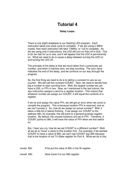# **Tutorial 4**

### **Delay Loops.**

There is one slight drawback to our flashing LED program. Each instruction takes one clock cycle to complete. If we are using a 4MHz crystal, then each instruction will take 1/4MHz, or 1uS to complete. As we are using only 5 instructions, the LED will turn on then off in 5uS. This is far too fast for us to see, and it will appear that the LED is permanently on. What we need to do is cause a delay between turning the LED on and turning the LED off.

The principle of the delay is that we count down from a previously set number, and when it reaches zero, we stop counting. The zero value indicates the end of the delay, and we continue on our way through the program.

So, the first thing we need to do is to define a constant to use as our counter. We will call this constant COUNT. Next, we need to decide how big a number to start counting from. Well, the largest number we can have is 255, or FFh in hex. Now, as I mentioned in the last tutorial, the equ instruction assigns a word to a register location. This means that whatever number we assign our COUNT, it will equal the contents of a register.

If we try and assign the value FFh, we will get an error when we come to compile the program. This is because location FFh is reserved, and so we can't access it. So, how do we assign an actual number? Well, it takes a little bit of lateral thinking. If we assign our COUNT to the address 08h, for example, this will point to a general purpose register location. By default, the unused locations are set to FFh. Therefore, if COUNT points to 08h, it will have the value of FFh when we first switch on.

But, I hear you cry, how do we set COUNT to a different number? Well, all we do is 'move' a value to this location first. For example, if we wanted COUNT to have a value of 85h, we can't say COUNT equ 85h because that is the location of out Tri-State register for Port A. What we do is this:

| movlw 85h | First put the value of 85h in the W register |
|-----------|----------------------------------------------|
| movwf 08h | ;Now move it to our 08h register.            |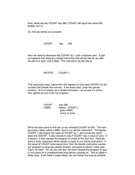Now, when we say COUNT equ 08h, COUNT will equal the value 85h. Subtle, isn't it!

So, first we define our constant:

COUNT equ 08h

Next we need to decrease this COUNT by 1 until it reaches zero. It just so happens that there is a single instruction that will do this for us, with the aid of a 'goto' and a label. The instruction we will use is:

### DECFSZ COUNT,1

This instruction says 'Decrement the register (in this case COUNT) by the number that follows the comma. If we reach zero, jump two places forward.' A lot of words, for a single instruction. Let us see it in action first, before we put it into our program.

| COUNT | equ 08h        |
|-------|----------------|
| LABEL | decfsz COUNT,1 |
|       | goto LABEL     |
|       | Carry on here. |
|       |                |
|       |                |
|       |                |
|       |                |

What we have done is first set up our constant COUNT to 255. The next line puts a label, called LABEL next to our decfsz instruction. The decfsz COUNT,1 decreases the value of COUNT by 1, and stores the result back into COUNT. It also checks to see if COUNT has a value of zero. If it doesn't, it then causes the program to move to the next line. Here we have a 'goto' statement which sends us back to our decfsz instruction. If the value of COUNT does equal zero, then the decfsz instruction causes our program to jump two places forward, and goes to where I have said 'Carry on here'. So, as you can see, we have caused the program to stay in one place for a predetermined time before carrying on. This is called a delay loop. If we need a larger delay, we can follow one loop by another.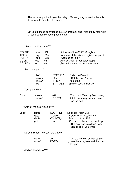The more loops, the longer the delay. We are going to need at least two, if we want to see the LED flash..

Let us put these delay loops into our program, and finish off by making it a real program by adding comments:

;\*\*\*\*\*Set up the Constants\*\*\*\*

| <b>STATUS</b>      | eau | 03h | :Address of the STATUS register               |
|--------------------|-----|-----|-----------------------------------------------|
| <b>TRISA</b>       | eau | 85h | ; Address of the tristate register for port A |
| <b>PORTA</b>       | eau | 05h | :Address of Port A                            |
| COUNT <sub>1</sub> | eau | 08h | ; First counter for our delay loops           |
| COUNT2             | eau | 09h | ;Second counter for our delay loops           |

;\*\*\*\*Set up the port\*\*\*\*

| bsf   | STATUS,5     | ;Switch to Bank 1      |
|-------|--------------|------------------------|
| movlw | 00h          | ;Set the Port A pins   |
| movwf | <b>TRISA</b> | to output.             |
| bcf   | STATUS.5     | ;Switch back to Bank 0 |

;\*\*\*\*Turn the LED on\*\*\*\*

;\*\*\*\*Start of the delay loop 1\*\*\*\*

| Loop1          | decfsz | COUNT <sub>1,1</sub> | Subtract 1 from 255                 |
|----------------|--------|----------------------|-------------------------------------|
|                | goto   | Loop1                | ; If COUNT is zero, carry on.       |
| decfsz<br>goto |        | COUNT2,1             | :Subtract 1 from 255                |
|                |        | Loop1                | ; Go back to the start of our loop. |
|                |        |                      | ;This delay counts down from        |
|                |        |                      | ;255 to zero, 255 times             |

;\*\*\*\*Delay finished, now turn the LED off\*\*\*\*

| movlw | 00h          | ;Turn the LED off by first putting   |
|-------|--------------|--------------------------------------|
| movwf | <b>PORTA</b> | ; it into the w register and then on |
|       |              | the port;                            |

;\*\*\*\*Add another delay\*\*\*\*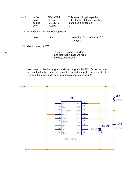| Loop2 | decfsz | COUNT <sub>1,1</sub> | : This second loop keeps the    |
|-------|--------|----------------------|---------------------------------|
|       | aoto   | Loop2                | :LED turned off long enough for |
|       | decfsz | COUNT2,1             | tus to see it turned off        |
|       | aoto   | Loop2                |                                 |
|       |        |                      |                                 |

;\*\*\*\*Now go back to the start of the program

| goto | Start | go back to Start and turn LED |
|------|-------|-------------------------------|
|      |       | on again;                     |

;\*\*\*\*End of the program\*\*\*\*

end in the state of the state of the state of the state of the state of the state of the state of the state of the state of the state of the state of the state of the state of the state of the state of the state of the sta ;and also just in case we miss ;the goto instruction.

> You can compile this program and then program the PIC. Of course, you will want to try the circuit out to see if it really does work. Here is a circuit diagram for you to build once you have programmed your PIC.

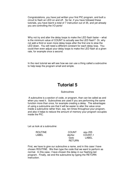Congratulations, you have just written your first PIC program, and built a circuit to flash an LED on and off. So far, if you have followed these tutorials, you have learnt a total of 7 instruction out of 35, and yet already you are controlling the I/O ports!

Why not try and alter the delay loops to make the LED flash faster – what is the minimum value of COUNT to actually see the LED flash? Or, why not add a third or even more delay loops after the first one to slow the LED down. You will need a different constant for each delay loop. You could then even adjust your delay loops to make the LED flash at a given rate, for example once a second.

In the next tutorial we will see how we can use a thing called a subroutine to help keep the program small and simple.

# **Tutorial 5**

**Subroutines** 

A subroutine is a section of code, or program, than can be called as and when you need it. Subroutines are used if you are performing the same function more than once, for example creating a delay. The advantages of using a subroutine are that it will be easier to alter the value once inside a subroutine rather than, say, ten times throughout your program, and also it helps to reduce the amount of memory your program occupies inside the PIC.

Let us look at a subroutine:

| <b>ROUTINE</b> | <b>COUNT</b>  | equ 255 |
|----------------|---------------|---------|
| LABEL          | decfsz        | COUNT.1 |
|                | Goto          | LABEL   |
|                | <b>RETURN</b> |         |

First, we have to give our subroutine a name, and in this case I have chosen ROUTINE. We then type the code that we want to perform as normal. In this case, I have chosen the delay in our flashing led program. Finally, we end the subroutine by typing the RETURN instruction.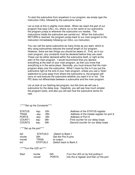To start the subroutine from anywhere in our program, we simply type the instruction CALL followed by the subroutine name.

Let us look at this in slightly more detail. When we reach the part of our program that says CALL xxx, where xxx is the name of our subroutine, the program jumps to wherever the subroutine xxx resides. The instructions inside the subroutine are carried out. When the instruction RETURN is reached, the program jumps back to our main program to the instruction immediately following our CALL xxx instruction.

You can call the same subroutine as many times as you want, which is why using subroutines reduces the overall length of our program. However, there are two things you should be aware of. First, as in our main program, any constants must be declared before they are used. These can be either declared within the subroutine itself, or right at the start of the main program. I would recommend that you declare everything at the start of your main program, as then you know that everything is in the same place. Secondly, you must ensure that the main program skips over the subroutine. What I mean by this is if you put the subroutine right at the end of your main program, unless you use a 'Goto' statement to jump away from where the subroutine is, the program will carry on and execute the subroutine whether you want it to or not. The PIC does not differentiate between a subroutine and the main program.

Let us look at our flashing led program, but this time we will use a subroutine for the delay loop. Hopefully, you will see how much simpler the program looks, and also you will see how the subroutine works for real.

;\*\*\*\*\*Set up the Constants\*\*\*\*

| <b>STATUS</b>      | eau | 03h | :Address of the STATUS register              |
|--------------------|-----|-----|----------------------------------------------|
| <b>TRISA</b>       | eau | 85h | ;Address of the tristate register for port A |
| <b>PORTA</b>       | eau | 05h | :Address of Port A                           |
| COUNT <sub>1</sub> | eau | 08h | : First counter for our delay loops          |
| COUNT2             | eau | 09h | ;Second counter for our delay loops          |
|                    |     |     |                                              |

;\*\*\*\*Set up the port\*\*\*\*

| bsf   | STATUS.5     | :Switch to Bank 1      |
|-------|--------------|------------------------|
| movlw | 00h          | :Set the Port A pins   |
| movwf | <b>TRISA</b> | to output.             |
| bcf   | STATUS.5     | :Switch back to Bank 0 |

;\*\*\*\*Turn the LED on\*\*\*\*

| Start | movlw | 02h          | ;Turn the LED on by first putting it       |
|-------|-------|--------------|--------------------------------------------|
|       | movwf | <b>PORTA</b> | ; into the w register and then on the port |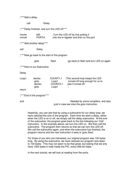;\*\*\*\*Add a delay

| call            | Delay                                         |       |                                                                                                                     |  |
|-----------------|-----------------------------------------------|-------|---------------------------------------------------------------------------------------------------------------------|--|
|                 | ;****Delay finished, now turn the LED off**** |       |                                                                                                                     |  |
| movlw<br>movwf  |                                               |       | 00h ;Turn the LED off by first putting it<br>PORTA ;into the w register and then on the port                        |  |
|                 | ;****Add another delay****                    |       |                                                                                                                     |  |
| call            | Delay                                         |       |                                                                                                                     |  |
|                 | :****Now go back to the start of the program  |       |                                                                                                                     |  |
|                 | goto                                          | Start | go back to Start and turn LED on again                                                                              |  |
|                 | ;****Here is our Subroutine                   |       |                                                                                                                     |  |
| Delay           |                                               |       |                                                                                                                     |  |
| Loop1<br>return | decfsz<br>goto<br>decfsz<br>goto              | Loop1 | COUNT1,1 ; This second loop keeps the LED<br>Loop1 :turned off long enough for us to<br>COUNT2,1 ;see it turned off |  |
|                 | ;****End of the program****                   |       |                                                                                                                     |  |
| end             |                                               |       | ;Needed by some compilers, and also<br>; just in case we miss the goto instruction.                                 |  |

Hopefully, you can see that by using a subroutine for our delay loop, we have reduced the size of the program. Each time we want a delay, either when the LED is on or off, we simply call the delay subroutine. At the end of the subroutine, the program goes back to the line following our 'Call' instruction. In the example above, we turn the LED on. We then call the subroutine. The program then returns so that we can turn the LED off. We call the subroutine again, and when the subroutine has finished, the program returns and the next instruction it sees is 'goto Start'.

For those of you who are interested, our original program was 120 bytes long. By using the subroutine, we have reduced our program size down to 103 bytes. This may not seem to be that great, but seeing that we only have 1024 bytes in total inside the PIC, every little bit helps.

In the next tutorial, we will look at reading from the ports.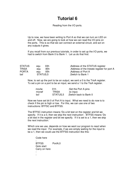# **Tutorial 6**

Reading from the I/O ports.

Up to now, we have been writing to Port A so that we can turn an LED on and off. Now, we are going to look at how we can read the I/O pins on the ports. This is so that we can connect an external circuit, and act on any outputs it gives.

If you recall from our previous tutorials, in order to set up the I/O ports, we had to switch from Bank 0 to Bank 1. Let us do that first:

| <b>STATUS</b> | eau      | 03h | :Address of the STATUS register               |
|---------------|----------|-----|-----------------------------------------------|
| <b>TRISA</b>  | eau      | 85h | ; Address of the tristate register for port A |
| <b>PORTA</b>  | eau      | 05h | :Address of Port A                            |
| bsf           | STATUS,5 |     | :Switch to Bank 1                             |

Now, to set up the port to be an output, we sent a 0 to the TrisA register. To set a pin on a port to be an input, we send a 1 to the TisA register.

| movlw | 01h                  | Set the Port A pins:   |
|-------|----------------------|------------------------|
| movwf | <b>TRISA</b>         | to input.              |
| bcf   | STATUS <sub>.5</sub> | :Switch back to Bank 0 |

Now we have set bit 0 of Port A to input. What we need to do now is to check if the pin is high or low. For this, we can use one of two instructions: BTFSC and BTFSS.

The BTFSC instruction means 'Do a bit test on the register and bit we specify. If it is a 0, then we skip the next instruction'. BTFSS means 'Do a bit test in the register and bit we specify. If it is set to a 1, then we skip the next instruction.'

Which one we use, depends on how we want our program to react when we read the input. For example, if we are simply waiting for the input to be a 1, then we could use the BTFSS instruction like this:

Code here

: BTFSS PortA,0 Goto start Carry on here : :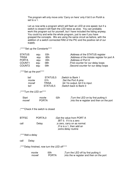The program will only move onto 'Carry on here' only if bit 0 on PortA is set to a 1.

Let us now write a program which will flash an LED at one speed, but if a switch is closed it will flash the LED twice as slow. You can probably work this program out for yourself, but I have included the listing anyway. You could try and write the whole program, just to see if you have grasped the concepts. We are using the same circuit as before, with the addition of a switch connected RA0 of the PIC and the positive rail of our supply.

;\*\*\*\*\*Set up the Constants\*\*\*\*

| <b>STATUS</b>      | eau | 03h | :Address of the STATUS register             |
|--------------------|-----|-----|---------------------------------------------|
| <b>TRISA</b>       | eau | 85h | Address of the tristate register for port A |
| <b>PORTA</b>       | eau | 05h | Address of Port A                           |
| COUNT <sub>1</sub> | eau | 08h | : First counter for our delay loops         |
| COUNT2             | eau | 09h | ;Second counter for our delay loops         |

;\*\*\*\*Set up the port\*\*\*\*

| bsf   | STATUS,5     | :Switch to Bank 1                  |
|-------|--------------|------------------------------------|
| movlw | 01h          | :Set the Port A pins:              |
| movwf | <b>TRISA</b> | ; bit 1 to output, bit 0 to input. |
| bcf   | STATUS.5     | Switch back to Bank 0:             |

;\*\*\*\*Turn the LED on\*\*\*\*

| Start | movlw        | 02h | ;Turn the LED on by first putting it       |
|-------|--------------|-----|--------------------------------------------|
| movwf | <b>PORTA</b> |     | ; into the w register and then on the port |

;\*\*\*\*Check if the switch is closed

| <b>BTFSC</b> | PORTA <sub>.0</sub> | :Get the value from PORT A                                                          |
|--------------|---------------------|-------------------------------------------------------------------------------------|
|              |                     | :BIT 0. If it is a zero                                                             |
| call         | Delay               | a zero, carry on as normal.<br>: If is is a 1, then add an<br>; extra delay routine |

;\*\*\*\*Add a delay

call Delay

;\*\*\*\*Delay finished, now turn the LED off\*\*\*\*

| movlw | 00h          | ;Turn the LED off by first putting it      |
|-------|--------------|--------------------------------------------|
| movwf | <b>PORTA</b> | ; into the w register and then on the port |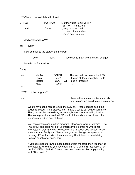;\*\*\*\*Check if the switch is still closed

| <b>BTFSC</b>                | PORTA,0                                      |                            | :Get the value from PORT A<br>;BIT 0. If it is a zero,                                                                          |
|-----------------------------|----------------------------------------------|----------------------------|---------------------------------------------------------------------------------------------------------------------------------|
| call                        | Delay                                        |                            | ; carry on as normal.<br>;If is a 1, then add an<br>; extra delay routine                                                       |
| ;****Add another delay****  |                                              |                            |                                                                                                                                 |
| Delay<br>call               |                                              |                            |                                                                                                                                 |
|                             | ;****Now go back to the start of the program |                            |                                                                                                                                 |
| goto                        | Start                                        |                            | go back to Start and turn LED on again                                                                                          |
| :****Here is our Subroutine |                                              |                            |                                                                                                                                 |
| Delay                       |                                              |                            |                                                                                                                                 |
| Loop1<br>return             | decfsz<br>goto<br>decfsz<br>goto             | COUNT1,1<br>Loop1<br>Loop1 | ; This second loop keeps the LED<br>turned off long enough for us to<br>COUNT2,1 ;see it turned off<br>$\overline{\phantom{a}}$ |
| ;****End of the program**** |                                              |                            |                                                                                                                                 |
| end                         |                                              |                            | Needed by some compilers, and also<br>just in case we miss the goto instruction.                                                |

What I have done here is to turn the LED on. I then check to see if the switch is closed. If it is closed, then I make a call to our delay subroutine. This gives us the same delay as before, but we are now calling it twice. The same goes for when the LED is off. If the switch is not closed, then we have our old on and off times.

You can compile and run this program. However a word of warning. The final circuit and code will look un-impressive to someone who is not interested in programming microcontrollers. So, don't be upset if, when you show your family and friends how you can change the speed of a flashing LED with a switch, they show very little interest – I am talking from personal experience, here!

If you have been following these tutorials from the start, then you may be interested to know that you have now learnt 10 of the 35 instructions for the PIC 16F84! And all of these have been learnt just by simply turning an LED on and off.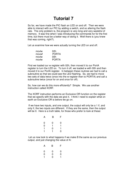# **Tutorial 7**

So far, we have made the PIC flash an LED on and off. Then we were able to interact with our PIC by adding a switch, and so altering the flash rate. The only problem is, the program is very long and very wasteful of memory. It was fine when I was introducing the commands for for the first time, but there must be a better way of doing it. Well there is (you knew that was coming, right?).

Let us examine how we were actually turning the LED on and off.

| movlw | 02h          |
|-------|--------------|
| movwf | <b>PORTA</b> |
| movlw | 00h          |
| movlw | <b>PORTA</b> |

First we loaded our w register with 02h, then moved it to our PortA register to turn the LED on. To turn it off, we loaded w with 00h and then moved it to our PortA register. In between these routines we had to call a subroutine so that we could see the LED flashing. So, we had to move two sets of data twice (once into the w register then to PORTA) and call a subroutine twice (once for on and once for off).

So, how can we do this more efficiently? Simple. We use another instruction called XORF.

The XORF instruction performs an Exclusive OR function on the register that we specify with the data we give it. I think I need to explain what on earth an Exclusive OR is before we go on.

If we have two inputs, and one output, the output will only be a 1 if, and only if, the two inputs are different. If they are the same, then the output will be 0. Here is a truth table, for those who prefer to look at these:

| А | B | F |
|---|---|---|
| 0 | 0 | 0 |
| 0 | 1 | 1 |
| 1 | 0 | 1 |
| 1 | 1 | 0 |

Let us now look to what happens if we make B the same as our previous output, and just changing the value of A:

| А | B | F |
|---|---|---|
| 0 | 0 | 0 |
| 0 | 0 | 0 |
| 1 | 0 | 1 |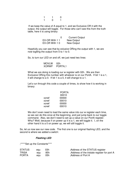| 1 | 1           | 0            |
|---|-------------|--------------|
| 1 | $\mathbf 0$ | $\mathbf{1}$ |

If we keep the value of A equal to 1, and we Exclusive OR it with the output, the output will toggle. For those who can't see this from the truth table, here it is using binary:

|                | O | <b>Current Output</b> |
|----------------|---|-----------------------|
| EX-OR With 11  |   | New Output            |
| EX-OR With 1 0 |   | New Output            |

Hopefully you can see that by exlusive ORing the output with 1, we are now toglling the output from 0 to 1 to 0.

So, to turn our LED on and off, we just need two lines:

| <b>MOVLW</b> | 02h     |
|--------------|---------|
| <b>XORWF</b> | PORTA,1 |

What we are doing is loading our w register with 02h. We are then Exclusive ORing this number with whatever is on our PortA. If bit 1 is a 1, it will change to a 0. If bit 1 is a 0, it will change to a 1.

Let's run through this code a couple of times, to show how it is working in binary:

|       | PORTA |
|-------|-------|
|       | 00010 |
| xorwf | 00000 |
| xorwf | 00010 |
| xorwf | 00000 |
| xorwf | 00010 |

We don't even need to load the same value into our w register each time, so we can do this once at the beginning, and just jump back to our toggle command. Also, we don't need to set up a value on our PortA register. Why? Well, because if on power up it is a 1, we will toggle it. I, on the other hand it is a 0 on power up, we will still toggle it.

So, let us now see our new code. The first one is our original flashing LED, and the second is where we added a switch:

#### *Flashing LED*

;\*\*\*\*\*Set up the Constants\*\*\*\*

| <b>STATUS</b> | eau | 03h | ;Address of the STATUS register              |
|---------------|-----|-----|----------------------------------------------|
| <b>TRISA</b>  | eau | 85h | ;Address of the tristate register for port A |
| <b>PORTA</b>  | eau | 05h | :Address of Port A                           |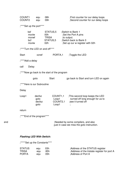|     | COUNT1<br>COUNT2                              | equ<br>equ                       | 08h<br>09h                             |                                        | First counter for our delay loops<br>;Second counter for our delay loops                                                 |
|-----|-----------------------------------------------|----------------------------------|----------------------------------------|----------------------------------------|--------------------------------------------------------------------------------------------------------------------------|
|     | ;****Set up the port****                      |                                  |                                        |                                        |                                                                                                                          |
|     | bsf<br>movlw<br>movwf<br>bcf<br>movlw         |                                  | 00h<br><b>TRISA</b><br>STATUS,5<br>02h | STATUS,5                               | ;Switch to Bank 1<br>;Set the Port A pins<br>;to output.<br>;Switch back to Bank 0<br>;Set up our w register with 02h    |
|     | ;****Turn the LED on and off****              |                                  |                                        |                                        |                                                                                                                          |
|     | <b>Start</b>                                  | xorwf                            |                                        | PORTA,1                                | ;Toggle the LED                                                                                                          |
|     | ;****Add a delay                              |                                  |                                        |                                        |                                                                                                                          |
|     | Delay<br>call                                 |                                  |                                        |                                        |                                                                                                                          |
|     | ;****Now go back to the start of the program  |                                  |                                        |                                        |                                                                                                                          |
|     |                                               | goto                             |                                        | Start                                  | go back to Start and turn LED on again                                                                                   |
|     | ;****Here is our Subroutine                   |                                  |                                        |                                        |                                                                                                                          |
|     | Delay                                         |                                  |                                        |                                        |                                                                                                                          |
|     | Loop1                                         | decfsz<br>goto<br>decfsz<br>goto |                                        | COUNT1,1<br>Loop1<br>COUNT2,1<br>Loop1 | ; This second loop keeps the LED<br>; turned off long enough for us to<br>;see it turned off<br>$\overline{\phantom{a}}$ |
|     | return                                        |                                  |                                        |                                        |                                                                                                                          |
|     | ;****End of the program****                   |                                  |                                        |                                        |                                                                                                                          |
| end |                                               |                                  |                                        |                                        | ;Needed by some compilers, and also<br>; just in case we miss the goto instruction.                                      |
|     | <b>Flashing LED With Switch:</b>              |                                  |                                        |                                        |                                                                                                                          |
|     | ;*****Set up the Constants****                |                                  |                                        |                                        |                                                                                                                          |
|     | <b>STATUS</b><br><b>TRISA</b><br><b>PORTA</b> | equ<br>equ<br>equ                | 03h<br>85h<br>05h                      |                                        | ;Address of the STATUS register<br>;Address of the tristate register for po<br>;Address of Port A                        |

| 3 I A I US | euu | UJH | <b>AUGLESS OF THE STATUS FEGISIER</b>       |
|------------|-----|-----|---------------------------------------------|
| TRISA      | eau | 85h | Address of the tristate register for port A |
| PORTA      | eau | 05h | Address of Port A                           |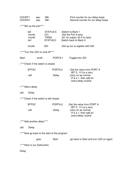| COUNT1<br>COUNT2 |                                              | equ<br>equ | 08h<br>09h                                  |              | First counter for our delay loops<br>;Second counter for our delay loops                                 |
|------------------|----------------------------------------------|------------|---------------------------------------------|--------------|----------------------------------------------------------------------------------------------------------|
|                  | ;****Set up the port****                     |            |                                             |              |                                                                                                          |
|                  | bsf<br>movlw<br>movwf<br>bcf                 |            | STATUS,5<br>01h<br><b>TRISA</b><br>STATUS,5 |              | ;Switch to Bank 1<br>;Set the Port A pins:<br>;bit 1to output, bit 0 to input.<br>;Switch back to Bank 0 |
|                  | movlw                                        |            | 02h                                         |              | ; Set up our w register with 02h                                                                         |
|                  | ;****Turn the LED on and off****             |            |                                             |              |                                                                                                          |
| <b>Start</b>     |                                              | xorwf      |                                             | PORTA,1      | Toggle the LED                                                                                           |
|                  | ;****Check if the switch is closed           |            |                                             |              |                                                                                                          |
|                  | <b>BTFSC</b>                                 |            |                                             | PORTA,0      | ; Get the value from PORT A<br>;BIT 0. If it is a zero,                                                  |
|                  | call                                         |            |                                             | Delay        | ; carry on as normal.<br>If is a 1, then add an<br>; extra delay routine                                 |
|                  | ;****Add a delay                             |            |                                             |              |                                                                                                          |
| call             | Delay                                        |            |                                             |              |                                                                                                          |
|                  | *****Check if the switch is still closed     |            |                                             |              |                                                                                                          |
|                  | <b>BTFSC</b>                                 |            |                                             | PORTA,0      | ;Get the value from PORT A<br>;BIT 0. If it is a zero,                                                   |
|                  | call                                         |            |                                             | Delay        | ; carry on as normal.<br>If is a 1, then add an<br>; extra delay routine                                 |
|                  | ;****Add another delay****                   |            |                                             |              |                                                                                                          |
| call             | Delay                                        |            |                                             |              |                                                                                                          |
|                  | ;****Now go back to the start of the program |            |                                             |              |                                                                                                          |
|                  |                                              | goto       |                                             | <b>Start</b> | ;go back to Start and turn LED on again                                                                  |
|                  | ;****Here is our Subroutine                  |            |                                             |              |                                                                                                          |
| Delay            |                                              |            |                                             |              |                                                                                                          |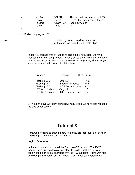| Loop1  | decfsz | COUNT <sub>1,1</sub> | This second loop keeps the LED   |
|--------|--------|----------------------|----------------------------------|
|        | aoto   | Loop1                | turned off long enough for us to |
|        | decfsz | COUNT <sub>2.1</sub> | see it turned off                |
|        | aoto   | Loop1                |                                  |
| return |        |                      |                                  |

;\*\*\*\*End of the program\*\*\*\*

end **in the compilers** in the solution of the solution of the solution of the solution of the solution of the solution of the solution of the solution of the solution of the solution of the solution of the solution of the ;just in case we miss the goto instruction.

> I hope you can see that by just using one simple instruction, we have reduced the size of our program. In fact, just to show how much we have reduced our programs by, I have shown the two programs, what changes were made, and their sizes in the table below:

| Program                | Change                   | Size (Bytes) |
|------------------------|--------------------------|--------------|
| <b>Flashing LED</b>    | Original                 | 120          |
| <b>Flashing LED</b>    | Subroutine Added         | 103          |
| <b>Flashing LED</b>    | <b>XOR Function Used</b> | 91           |
| <b>LED With Switch</b> | Original                 | 132          |
| <b>LED With Switch</b> | <b>XOR Function Used</b> | 124.         |

So, not only have we learnt some new instructions, we have also reduced the size of our coding!

# **Tutorial 8**

Here, we are going to examine how to manipulate individual bits, perform some simple arithmetic, and data tables.

# **Logical Operators**

In the last tutorial I introduced the Exclusive OR function. The ExOR function is known as a logical operator. In this tutorial I am going to explain the other logical operators that the PIC supports. There won't be any example programs, but I will explain how to use the operators by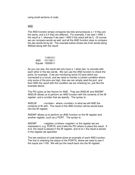using small sections of code.

### AND

The AND function simply compares two bits and produces a 1 if they are the same, and a 0 if they are different. For example, if we said 1 AND 1, the result is 1, whereas if we said 1 AND 0 the result will be 0. Of course, we can compare words as well, and all the AND function does is compare the two words bit by bit. The example below shows two 8-bit words being ANDed along with the result:

> 11001011 AND 10110011 Equals 10000011

As you can see, the result will only have a 1 when two 1s coincide with each other in the two words. We can use the AND function to check the ports, for example. If we are monitoring some I/O pins which are connected to a circuit, and we need to monitor a certain condition where only some of the pins are high, then we can simply read the port, and then AND the result with the condition we are checking for, just like the example above.

The PIC gives us two flavors for AND. They are ANDLW and ANDWF. ANDLW allows us to perform an AND function with the contents of the W register, and a number that we specify. The syntax is:

ANDLW <number> where <number> is what we will AND the contents of W with. The result of the AND function will be stored back into the W register.

ANDWF allows us to perform an AND function on the W register and another register, such as a PORT. The syntax is:

ANDWF <register>,d where <register> is the register we are interested in, e.g. PORTA, and d tells the PIC where to place the result. If  $d=0$ , the result is placed in the W register, and of  $d=1$  the result is stored in the register we specified.

The two sections of code below show an example of each AND function. The first is checking the status of the PORTA, where we need to see if the inputs are 1100. We will put the result back into the W register: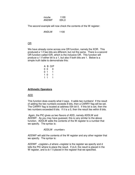| movlw        | 1100  |
|--------------|-------|
| <b>ANDWF</b> | 05h,0 |

The second example will now check the contents of the W register:

ANDLW 1100

# OR

We have already come across one OR function, namely the XOR. This produced a 1 if two bits are different, but not the same. There is a second OR function called IOR, which is the inclusive OR. This function will produce a 1 if either bit is a 1, but also if both bits are 1. Below is a simple truth table to demonstrate this:

|    |                | A B O/P |
|----|----------------|---------|
| 0. | 0              | 0       |
| 0  | $\blacksquare$ | 1       |
| 1. | ი              | 1       |
| 1  | 1              | 1       |

# **Arithmetic Operators**

### ADD

This function does exactly what it says. It adds two numbers! If the result of adding the two numbers exceeds 8 bits, then a CARRY flag will be set. The CARRY flag is located at address 03h bit 0. If this bit is set, then the two numbers exceeded 8 bits. If it is a 0, then the result lies within 8 bits.

Again, the PIC gives us two flavors of ADD, namely ADDLW and ADDWF. As you may have guessed, this is very similar to the above function. ADDLW adds the contents of the W register to a number that we specify. The syntax is:

 $ADDLW$  <number>

ADDWF will add the contents of the W register and any other register that we specify. The syntax is:

ADDWF <register>,d where <register is the register we specify and d tells the PIC where to place the result. If d=0, the result is placed in the W register, and is d=1 it placed in the register that we specified.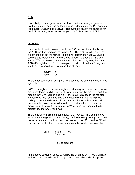## SUB

Now, I bet you can't guess what this function does! Yes, you guessed it, this function subtracts one bit from another. Once again the PIC gives us two flavors: SUBLW and SUBWF. The syntax is exactly the same as for the ADD function, except of course you type SUB instead of ADD!

### Increment

If we wanted to add 1 to a number in the PIC, we could just simply use the ADD function, and use the number 1.  $\sim$ The problem with this is that we have to first put the number into the W register, then use ADDLW 1 command to increment it. If we wanted to add 1 to a register, it is even worse. We first have to put the number 1 into the W register, then use ADDWF <register>,1. So, for example, to add 1 to location 0C, say, we would have to have the following section of code:

> movlw 01 addwf 0c,1

There is a better way of doing this. We can use the command INCF. The syntax is:

INCF <register>,d where <register> is the register, or location, that we are interested in, and d tells the PIC where to place the result. If d=0, the result is in the W register, and if d=1, the result is placed in the register we specified. By using this single instruction we can literally half the coding. If we wanted the result put back into the W register, then using the example above, we would have had to add another command to move the contents of 0C back into the W register, and then put the 0C register back to whatever it was.

There is another increment command. It is INCFSZ. This command will increment the register that we specify, but if we the register equals 0 after the increment (which will happen when we add 1 to 127) then the PIC will skip the next instruction. The section of code below demonstrates this:

Loop incfsz 0C Goto Loop : : Rest of program.

In the above section of code, 0C will be incremented by 1. We then have an instruction that tells the PIC to go back to our label called Loop, and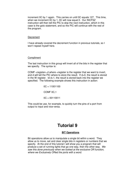increment 0C by 1 again. This carries on until 0C equals 127. This time, when we increment 0C by 1, 0C will now equal 0. Our INCFSZ instruction will then tell the PIC to skip the next instruction, which in this case is the goto statement, and so the PIC will continue with the rest of the program.

### **Decrement**

I have already covered the decrement function in previous tutorials, so I won't repeat myself here.

## **Compliment**

The last instruction in this group will invert all of the bits in the register that we specify. The syntax is:

COMF <register>,d where <register is the register that we want to invert, and d will tell the PIC where to store the result. If d=0, the result is stored in the W register. Id  $d=1$ , the result is stored back into the register we specified. The following example shows this instruction in action:

> $0C = 11001100$ COMF 0C,1  $0C = 00110011$

This could be use, for example, to quickly turn the pins of a port from output to input and vice-versa.

# **Tutorial 9**

# **BIT Operations**

Bit operations allow us to manipulate a single bit within a word. They allow us to move, set and clear single bits in registers or numbers that we specify. At the end of this tutorial I will show you a program that will produce a set of running lights that go one way, then the other way. *We saw this done previously when we looked at the exclusive OR function, where we Exclusively ORed the ports with a word.*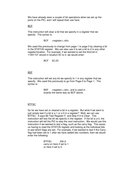We have already seen a couple of bit operations when we set up the ports on the PIC, and I will repeat their use here.

## **BCF**

This instruction will clear a bit that we specify in a register that we specify. The syntax is:

BCF <register>,<br/>bit>

We used this previously to change from page 1 to page 0 by clearing a bit in the STATUS register. We can also use it to set a bit to 0 in any other register/location. For example, if we wanted to set the third bit in 11001101 stored in location 0C to 0, we would enter:

BCF 0C,03

### BSF

This instruction will set any bit we specify to 1 in any register that we specify. We used this previously to go from Page 0 to Page 1. The syntax is:

> BSF <register>,<br/>bit>, and is used in exactly the same way as BCF above.

# BTFSC

So far we have set or cleared a bit in a register. But what if we want to just simply test if a bit is a 1 or a 0 in a register? Well, we can use BTFSC. It says Bit Test Register F, and Skip If It Is Clear. This instruction will test the bit we specify in the register. If the bit is a 0, the instruction will tell the PIC to skip the next instruction. We would use this instruction if we wanted to test a flag, such as the carry flag. This saves us having to read the STATUS register and looking at the individual bits to see which flags are set. For example, if we wanted to test if the Carry flag had been set to 1 after we have added two numbers, then we would enter the following:

> BTFSC 03h,0 carry on here if set to 1 or here if set to 0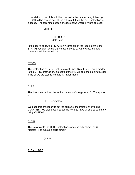If the status of the bit is a 1, then the instruction immediately following BTFSC will be carried out. If it is set to a 0, then the next instruction is skipped. The following section of code shows where it might be used:

> Loop : : : BTFSC 03,0 Goto Loop

In the above code, the PIC will only come out of the loop if bit 0 of the STATUS register (or the Carry flag) is set to 0. Otherwise, the goto command will be carried out.

# BTFSS

This instruction says Bit Test Register F, And Skip If Set. This is similar to the BTFSC instruction, except that the PIC will skip the next instruction if the bit we are testing is set to 1, rather than 0.

# CLRF

This instruction will set the entire contents of a register to 0. The syntax is:

CLRF <register>

We used this previously to set the output of the Ports to 0, by using CLRF 85h. We also used it to set the Ports to have all pins to output by using CLRF 05h.

# CLRW

This is similar to the CLRF instruction, except is only clears the W register. The syntax is quite simply:

**CLRW** 

# RLF And RRF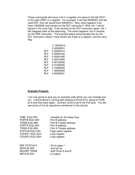These commands will move a bit in a register one place to the left (RLF) or the right (RRF) in a register. For example, if we had 00000001 and we used RLF, then we would have 00000010. Now, what happens if we have 10000000 and carried out the RLF instruction? Well, the 1 will be placed in the carry flag. If we carried out the RLF instruction again, the 1 will reappear back at the beginning. The same happens, but in reverse, for the RRF instruction. The example below demonstrates this for the RLF instruction, where I have shown the 8 bits of a register, and the carry flag :

|      | C 76543210 |
|------|------------|
|      | 000000001  |
| RLF  | 0 00000010 |
| RLF  | 000000100  |
| RLF  | 0 00001000 |
| RI F | 0 00010000 |
| RLF  | 000100000  |
| RLF  | 001000000  |
| RLF  | 0 10000000 |
| RLF  | 1 00000000 |
| RLF  | 0 00000001 |
|      |            |

### **Example Program**

I am now going to give you an example code which you can compile and run. It will produce a running light starting at PortA bit 0, going to PortB bit 8 and then back again. Connect LEDs to all of the Port pins. You will see some of the bit operations mentioned in this tutorial.

| TIME EQU 9FH          | ; Variable for the delay loop. |
|-----------------------|--------------------------------|
| PORTB EQU 06H         | : Port B address.              |
| <b>TRISB EQU 86H</b>  | ; Port B Tristate address.     |
| PORTA EQU 05H         | ; Port A address.              |
| <b>TRISA EQU 85H</b>  | ; Port A Tristate address.     |
| <b>STATUS EQU 03H</b> | ; Page select register.        |
| <b>COUNT1 EQU 0CH</b> | ; Loop register.               |
| <b>COUNT2 EQU 0DH</b> | ; Loop register.               |
| <b>BSF STATUS,5</b>   | ; Go to page 1                 |
| MOVLW 00H             | ; and set up                   |
| <b>MOVWF TRISB</b>    | ; both Ports A and B           |
| MOVLW 00H             | ; to output,                   |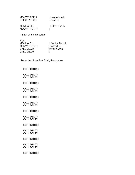| <b>MOVWF TRISA</b>                                                                                                                                                                                                                                                                                                                                                                                                               | ; then return to |  |
|----------------------------------------------------------------------------------------------------------------------------------------------------------------------------------------------------------------------------------------------------------------------------------------------------------------------------------------------------------------------------------------------------------------------------------|------------------|--|
| <b>BCF STATUS,5</b>                                                                                                                                                                                                                                                                                                                                                                                                              | ; page $0.$      |  |
| $\begin{array}{c} \textbf{1} & \textbf{1} & \textbf{1} & \textbf{1} & \textbf{1} & \textbf{1} & \textbf{1} & \textbf{1} & \textbf{1} & \textbf{1} & \textbf{1} & \textbf{1} & \textbf{1} & \textbf{1} & \textbf{1} & \textbf{1} & \textbf{1} & \textbf{1} & \textbf{1} & \textbf{1} & \textbf{1} & \textbf{1} & \textbf{1} & \textbf{1} & \textbf{1} & \textbf{1} & \textbf{1} & \textbf{1} & \textbf{1} & \textbf{1} & \textbf$ | . חיים           |  |

| MOVLW 00H          | : Clear Port A. |
|--------------------|-----------------|
| <b>MOVWF PORTA</b> |                 |

; Start of main program

| <b>RUN</b>        |                     |
|-------------------|---------------------|
| MOVLW 01H         | : Set the first bit |
| MOVWE PORTB       | ; on Port B.        |
| <b>CALL DELAY</b> | ; Wait a while      |
| <b>CALL DELAY</b> | ٠                   |

; Move the bit on Port B left, then pause.

RLF PORTB,1

CALL DELAY CALL DELAY

RLF PORTB,1

CALL DELAY CALL DELAY

RLF PORTB,1

CALL DELAY CALL DELAY

RLF PORTB,1

CALL DELAY CALL DELAY

RLF PORTB,1

CALL DELAY CALL DELAY

RLF PORTB,1

CALL DELAY CALL DELAY

RLF PORTB,1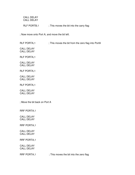CALL DELAY CALL DELAY RLF PORTB,1 ; This moves the bit into the carry flag

; Now move onto Port A, and move the bit left.

| RLF PORTA,1                            | ; This moves the bit from the zero flag into PortA |
|----------------------------------------|----------------------------------------------------|
| <b>CALL DELAY</b><br><b>CALL DELAY</b> |                                                    |
| <b>RLF PORTA,1</b>                     |                                                    |
| <b>CALL DELAY</b><br><b>CALL DELAY</b> |                                                    |
| <b>RLF PORTA,1</b>                     |                                                    |
| <b>CALL DELAY</b><br><b>CALL DELAY</b> |                                                    |
| <b>RLF PORTA,1</b>                     |                                                    |
| <b>CALL DELAY</b><br><b>CALL DELAY</b> |                                                    |
| ; Move the bit back on Port A          |                                                    |
| RRF PORTA,1                            |                                                    |
| <b>CALL DELAY</b><br><b>CALL DELAY</b> |                                                    |
| RRF PORTA,1                            |                                                    |
| <b>CALL DELAY</b><br><b>CALL DELAY</b> |                                                    |
| RRF PORTA,1                            |                                                    |
| <b>CALL DELAY</b><br><b>CALL DELAY</b> |                                                    |
| <b>RRF PORTA,1</b>                     | ; This moves the bit into the zero flag            |
|                                        |                                                    |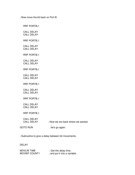; Now move the bit back on Port B

RRF PORTB,1

CALL DELAY CALL DELAY

RRF PORTB,1

CALL DELAY CALL DELAY

RRF PORTB,1

CALL DELAY CALL DELAY

RRF PORTB,1

CALL DELAY CALL DELAY

RRF PORTB,1

CALL DELAY CALL DELAY

RRF PORTB,1

CALL DELAY CALL DELAY

RRF PORTB,1

CALL DELAY<br>CALL DELAY ; Now we are back where we started, ; GOTO RUN ; let's go again.

; Subroutine to give a delay between bit movements.

DELAY

MOVLW TIME ; Get the delay time, MOVWF COUNT1 ; and put it into a variable.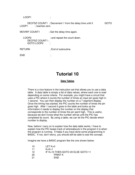LOOP1 ;

DECFSZ COUNT1 ; Decrement 1 from the delay time until it GOTO LOOP1 ; reaches zero.

MOVWF COUNT1 ; Get the delay time again,

| LOOP2<br>DECFSZ COUNT1 :<br>GOTO LOOP2 | ; and repeat the count down. |
|----------------------------------------|------------------------------|
| RETURN                                 | ; End of subroutine.         |

END ;

# **Tutorial 10**

# **Data Tables**

There is a nice feature in the instruction set that allows you to use a data table. A data table is simply a list of data values, where each one is read depending on some criteria. For example, you might have a circuit that uses a PIC where it counts the number of times an input pin goes high in 1 second. You can then display the number on a 7 segment display. Once the timing has started, the PIC counts the number of times the pin goes high. After 1 second it goes to the table and looks up the information it needs to display the number on the display that corresponds to the number of times the pin went high. This is useful, because we don't know what the number will be until the PIC has completed its count. By using a table, we can let the PIC decide which number to display.

Now, before I carry on to explain how the data table works, I have to explain how the PIC keeps track of whereabouts in the program it is when the program is running. It helps if you have done some programming in BASIC. If not, don't worry, you should still be able to see the concept.

Imagine we have a BASIC program like the one shown below:

| 10 | LET $K=0$                         |
|----|-----------------------------------|
| 11 | $K=K+1$                           |
| 12 | IF K>10 THEN GOTO 20 ELSE GOTO 11 |
| 20 | <b>PRINT K</b>                    |
| 21 | <b>FND</b>                        |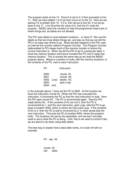The program starts at line 10. Once K is set to 0, it then proceeds to line 11. After we have added 1 to K we then move on to line 12. Here we are asking if K is greater than 10. If it is, then we go to line 20, if not we go back to line 11. Line 20 prints the value of K, and line 21 ends the program. BASIC uses line numbers to help the programmer keep track of where things are, as labels are not allowed.

The PIC uses labels to jump between locations – or does it? We use the labels so that we know where things are, and also so that we can tell the PIC in an easy way where to go. What actually happens is the PIC uses an internal line counter called a Program Counter. The Program Counter (abbreviated to PC) keeps track of the memory location of where the current instruction is. When we tell the PIC to go to a particular label, it know the memory location and hence increase the PC until it reads that memory location. This is exactly the same way as we read the BASIC program above. Below is a section of code, with the memory locations, or the contents of the PC, next to each instruction:

| PC.                                  |             | Instruction                                    |
|--------------------------------------|-------------|------------------------------------------------|
| 0000<br>0001<br>0002<br>0003<br>በበበ4 | Loop<br>end | movlw 03<br>movwf 0C<br>decfsc 0C<br>goto Loop |

In the example above, I have set the PC to 0000. At this location we have the instruction movlw 03. When the PIC has executed this instruction, it increments the PC so that the next instruction is read. Here the PIC sees movwf 0C. The PC is incremented again. Now the PIC reads decfsc 0C. If the contents of 0C are not 0, then the PC is incremented by 1, and the next instruction, goto Loop, tells the PC to go back to location 0003, which is where we have said Loop. If the contents of 0C is 0, then the PC is told to increment by 2, in other words skip the next instruction. This puts the PC at location 0004, where the program ends. The locations are set by the assembler, and we don't normally need to worry what the PC is doing. Until, that is we need to control it like we are about to do when using data tables.

The best way to explain how a data table works, is to start off with an example.

> PC equ 02 movlw 03 call table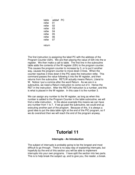| table | addwf | P١ |
|-------|-------|----|
| retlw | 01    |    |
| retlw | 02    |    |
| retlw | 03    |    |
| retlw | 04    |    |
| retlw | 05    |    |
| retlw | 06    |    |
| retlw | 07    |    |
|       |       |    |
|       |       |    |

return

The first instruction is assigning the label PC with the address of the Program Counter (02h). We are then placing the value of 03h into the w register. We then make a call to table. The first line in the subroutine table adds the contents of the W register (03h) to the program counter. This causes the program counter to increase by 3, or to put it another way, causes the program counter to move down 3 lines. When the counter reaches 3 lines down it the PIC sees the instruction retlw. This command passes the value following it into the W register, and then returns from the subroutine. RETLW actually means Return, Literal to W. Notice I put a comma after the word Return. As we are in a subroutine, we need a Return instruction to come out of it. Hence the RET in the instruction. After the RETLW instruction is a number, and this is what is placed in the W register. In this case it is the number 3.

We can assign any number to the W register, as long as when this number is added to the Program Counter in the table subroutine, we will find a retlw instruction. In the above example this means we can have any number from 1 to 7. If we go past the subroutine, we could end up executing another part of the program. Because of this, it is always a good idea to put the data table right at the end of the PIC program, so if we do overshoot then we will reach the end of the program anyway.

# **Tutorial 11**

# **Interrupts - An Introduction**

The subject of interrupts is probably going to be the longest and most difficult to go through. There is no easy way of explaining interrupts, but hopefully by the end of this section you will be able to implement interrupts into your own programs. I have split the section into two parts. This is to help break the subject up, and to give you, the reader, a break.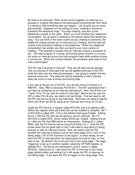So what is an interrupt? Well, as the name suggests, an interrupt is a process or a signal that stops a microprocessor/microcontroller from what it is doing so that something else can happen. Let me give you an every day example. Suppose you are sitting at home, chatting to someone. Suddenly the telephone rings. You stop chatting, and pick up the telephone to speak to the caller. When you have finished your telephone conversation, you go back to chatting to the person before the telephone rang. You can think of the main routine as you chatting to someone, the telephone ringing causes you to interrupt your chatting, and the interrupt routine is the process of talking on the telephone. When the telephone conversation has ended, you then go back to your main routine of chatting. This example is exactly how an interrupt causes a processor to act. The main program is running, performing some function in a circuit, but when an interrupt occurs the main program halts while another routine is carried out. When this routine finishes, the processor goes back to the main routine again.

The PIC has 4 sources of interrupt. They can be split into two groups. Two are sources of interrupts that can be applied externally to the PIC, while the other two are internal processes. I am going to explain the two external ones here. The other two will be explained in other tutorials when we come to look at timers and storing data.

If you look at the pin-out of the PIC, you will see that pin 6 shows it is RB0/INT. Now, RB0 is obviously Port B bit 0. The INT symbolizes that it can also be configures as an external interrupt pin. Also, Port B bits 4 to 7 (pins 10 to 13) can also be used for interrupts. Before we can use the INT or other Port B pins, we need to do two things. First we need to tell the PIC that we are going to use interrupts. Secondly, we need to specify which port B pin we will be using as an interrupt and not as an I/O pin.

Inside the PIC there is a register called INTCON, and is at address 0Bh. Within this register there are 8 bits that can be enabled or disabled. Bit 7 of INTCON is called GIE. This is the Global Interrngupt Enable. Setting this to 1 tells the PIC that we are going to use an interrupt. Bit 4 of INTCON is called INTE, which means INTerrupt Enable. Setting this bit to 1 tells the PIC that RB0 will be an interrupt pin. Setting bit 3, called RBIE, tells the PIc that we will be using Port B bits 4 to 7. Now the PIC knows when this pin goes high or low, it will need to stop what it's doing and get on with an interrupt routine. Now, we need to tell the PIC whether the interrupt is going to be on the rising edge (0V to  $+5V$ ) or the falling edge (+5V to 0V) transition of the signal. In other words, do we want the PIC to interrupt when the signal goes from low to high, or from high to low. By default, this is set up to be on the rising edge. The edge 'triggering' is set up in another register called the OPTION register, at address 81h. The bit we are interested in is bit 6, which is called INTEDG. Setting this to 1 will cause the PIC to interrupt on the rising edge (default state) and setting it to 0 will cause the PIC to interrupt on the falling edge. If you want the PIC to trigger on the rising edge, then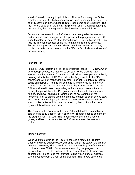you don't need to do anything to this bit. Now, unfortunately, the Option register is in Bank 1, which means that we have to change from bank 0 to bank 1, set the bit in the Option register, then come back to bank 0. The trick here is to do all of the Bank 1 registers in one hit, such as setting up the port pins, then coming back to Bank 0 when you are finished.

Ok, so now we have told the PIC which pin is going to be the interrupt, and on which edge to trigger, what happens in the program and the PIC when the interrupt occurs? Two things happen. First, a 'flag' is set. This tells the internal processor of the PIC that an interrupt has occurred. Secondly, the program counter (which I mentioned in the last tutorial) points to a particular address within the PIC. Let's quickly look at each of these separately.

### Interrupt Flag

In our INTCON register, bit 1 is the interrupt flag, called INTF. Now, when any interrupt occurs, this flag will be set to 1. While there isn't an interrupt, the flag is set to 0. And that is all it does. Now you are probably thinking 'what is the point?' Well, while this flag is set to 1, the PIC cannot, and will not, respond to any other interrupt. So, let's say that we cause an interrupt. The flag will be set to 1, and the PIC will go to our routine for processing the interrupt. If this flag wasn't set to 1, and the PIC was allowed to keep responding to the interrupt, then continually pulsing the pin will keep the PIC going back to the start of our interrupt routine, and never finishing it. Going back to my example of the telephone, it's like picking up the telephone, and just as soon as you start to speak it starts ringing again because someone else want to talk to you. It is far better to finish one conversation, then pick up the phone again to talk to the second person.

There is a slight drawback to this flag. Although the PIC automatically sets this flag to 1, it doesn't set it back to 0! That task has to be done by the programmer – i.e. you. This is easily done, as I'm sure you can guess, and has to be done after the PIC has executed the interrupt routine.

#### Memory Location

When you first power up the PIC, or if there is a reset, the Program Counter points to address 0000h, which is right at the start of the program memory. However, when there is an interrupt, the Program Counter will point to address 0004h. So, when we are writing our program that is going to have interrupts, we first of all have to tell the PIC to jump over address 0004h, and keep the interrupt routine which starts at address 0004h separate from the rest of the program. This is very easy to do.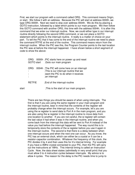First, we start our program with a command called ORG. This command means Origin, or start. We follow it with an address. Because the PIC will start at address 0000h, we type ORG 0000h. Next we need to skip over address 0004h. We do this by placing a GOTO instruction, followed by a label which points to our main program. We then follow this GOTO command with another ORG, this time with the address 0004h. It is after this command that we enter our interrupt routine. Now, we could either type in our interrupt routine directly following the second ORG command, or we can place a GOTO statement which points to the interrupt routine. It really is a matter of choice on your part. To tell the PIC that it has come to the end of the interrupt routine we need to place the command RTFIE at the end of the routine. This command means return from the interrupt routine. When the PIC see this, the Program Counter points to the last location the PIC was at before the interrupt happened. I have shown below a short segment of code to show the above:

|       | GOTO start    | ORG 0000h; PIC starts here on power up and reset<br>;Goto our main program                                                                        |
|-------|---------------|---------------------------------------------------------------------------------------------------------------------------------------------------|
|       | ORG           | 0004h ; The PIC will come here on an interrupt<br>:This is our interrupt routine that we<br>:want the PIC to do when it receives<br>;an interrupt |
|       | <b>RETFIE</b> | : End of the interrupt routine                                                                                                                    |
| start |               | This is the start of our main program.                                                                                                            |

There are two things you should be aware of when using interrupts. The first is that if you are using the same register in your main program and the interrupt routine, bear in mind that the contents of the register will probably change when the interrupt occurs. For example, let's you are using the w register to send data to Port A in the main program, and you are also using the w register in the interrupt routine to move data from one location to another. If you are not careful, the w register will contain the last value it had when it was in the interrupt routine, and when you come back from the interrupt this data will be sent to Port A instead of the value you had before the interrupt happened. The way round this is to temporarily store the contents of the w register before you use it again in the interrupt routine. The second is that there is a delay between when one interrupt occurs and when the next one can occur. As you know, the PIC has an external clock, which can either be a crystal or it can be a resistor-capacitor combination. Whatever the frequency of this clock, the PIC divides it by 4 and then uses this for it's internal timing. For example if you have a 4MHz crystal connected to your PIC, then the PIC will carry out the instructions at 1MHz. This internal timing is called an Instruction Cycle. Now, the data sheet states (admittedly in very small print) that you must allow 3 to 4 instruction cycles between interrupts. My advice is to allow 4 cycles. The reason for the delay is the PIC needs time to jump to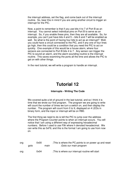the interrupt address, set the flag, and come back out of the interrupt routine. So, bear this in mind if you are using another circuit to trigger an interrupt for the PIC.

Now, a point to remember is that if you use bits 4 to 7 of Port B as an interrupt. You cannot select individual pins on Port B to serve as an interrupt. So, if you enable these pins, then they are all available. So, for example, you can't just have bits 4 and 5 – bits 6 and 7 will be enabled as well. So what is the point of having four bits to act as an interrupt? Well, you could have a circuit connected to the PIC, and if any one of four lines go high, then this could be a condition that you need the PIC to act on quickly. One example of this would be a house alarm, where four sensors are connected to Port B bits 4 to 7. Any sensor can trigger the PIC to sound an alarm, and the alarm sounding routine is the interrupt routine. This saves examining the ports all the time and allows the PIC to get on with other things.

In the next tutorial, we will write a program to handle an interrupt.

# **Tutorial 12**

# **Interrupts - Writing The Code**

We covered quite a bit of ground in the last tutorial, and so I think it is time that we wrote our first program. The program we are going to write will count the number of times we turn a switch on, and then display the number. The program will count from 0 to 9, displayed on 4 LEDs in binary form, and the input or interrupt will be on RB0.

The first thing we need to do is tell the PIC to jump over the address where the Program Counter points to when an interrupt occurs. You will notice that I am using a different way of expressing hexadecimal numbers. Before I used to use F9h where h denoted hexadecimal. We can write this as 0xF9, and this is the format I am going to use from now on.

| ora | aoto | 0x00 | main | This is where the PC points to on power up and reset<br>:Goto our main program |
|-----|------|------|------|--------------------------------------------------------------------------------|
| ora |      | 0x04 |      | This is where our interrupt routine will start                                 |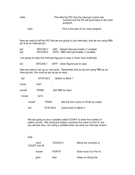| retfie | This tells the PIC that the interrupt routine has<br>finished and the PC will point back to the main<br>:program |
|--------|------------------------------------------------------------------------------------------------------------------|
|        |                                                                                                                  |

main **in the start of our main program** ;This is the start of our main program

Now we need to tell the PIC that we are going to use interrupts, and we are using RB0 pin 6 as an interrupt pin:

| bsf | INTCON,7 | ;GIE – Global interrupt enable (1=enable) |
|-----|----------|-------------------------------------------|
| bsf | INTCON,4 | ;INTE - RB0 interrupt enable (1=enable)   |

I am going to clear the interrupt flag just in case (I never trust anything!)

bcf INTCON,1 ; INTF - Clear flag bit just in case

Now we need to set up our two ports. Remember that as we are using RB0 as an interrupt pin, this must be set up as an input:

| bsf   | STATUS,5     |          | :Switch to Bank 1                       |
|-------|--------------|----------|-----------------------------------------|
| movw  | 0x01         | ÷        |                                         |
| movwf | <b>TRISB</b> |          | ;Set RB0 as input                       |
| movlw | 0x10         | ÷        |                                         |
| movwf |              | TRISA    | Set the first 4 pins on PortA as output |
| bcf   |              | STATUS,5 | :Come back to Bank 0                    |

We are going to use a variable called COUNT to store the number of switch counts. We could just simply increment the value on Port A, but you will see why I am using a variable when we write our interrupt routine.

loop

| movf<br><b>COUNT into W</b> | COUNT,0      | ; Move the contents of |
|-----------------------------|--------------|------------------------|
| movwf                       | <b>PORTA</b> | :Now move it to Port A |
| goto                        | loop         | :Keep on doing this    |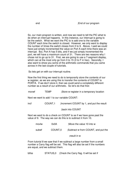So, our main program is written, and now we need to tell the PIC what to do when an interrupt happens. In this instance, our interrupt is going to be the switch. What we want the PIC to is add one to the variable COUNT each time the switch is closed. However, we only want to display the number of times the switch closes from 0 to 9. Above, I said we could have just simply incremented the value on Port A each time there was an interrupt. But, Port A has 5 bits, and if we just simply incremented the port, we will have a maximum count of 31. There are two reasons why I chose not to go up to 31. First, we are going to use a 7-segment display, which can at the most only go from 0 to 15 (0 to F in hex). Secondly, I also want to show you some of the arithmetic commands that you came across in the last couple of tutorials.

So lets get on with our interrupt routine.

Now the first thing we need to do is temporarily store the contents of our w register, as we are using this to transfer the contents of COUNT to PORTA. If we don't store it, then we could send a completely different number as a result of our arithmetic. So let's do that first:

movwf TEMP ;Store w register in a temporary location

Next we want to add 1 to our variable COUNT:

incf COUNT,1 ;Increment COUNT by 1, and put the result

;back into COUNT

Next we want to do a check on COUNT to se if we have gone past the value of 9. The way we can do this is to subtract it from 10.

| movlw | 0x0A    | Move the value 10 into w            |
|-------|---------|-------------------------------------|
| subwf | COUNT.0 | :Subtract w from COUNT, and put the |
|       |         | ;result in w                        |

From tutorial 8 we saw that if we subtract a large number from a small number a Carry flag will be set. This flag will also be set if the numbers are equal, and we subtract them.

btfss STATUS,0 ;Check the Carry flag. It will be set if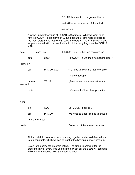;COUNT is equal to, or is greater than w,

;and will be set as a result of the subwf

;instruction

Now we know if the value of COUNT is 9 or more. What we want to do now is if COUNT is greater than 9, put it back to 0, otherwise go back to the main program so that we can send it to Port A. The BTFSS command as you know will skip the next instruction if the carry flag is set i.e COUNT  $= 10$ :

| goto      | carry_on          |              | ; If COUNT is <10, then we can carry on   |
|-----------|-------------------|--------------|-------------------------------------------|
|           | goto              | clear        | ;If COUNT is >9, then we need to clear it |
| carry_on  |                   |              |                                           |
|           | bcf               | INTCON, 0x01 | We need to clear this flag to enable      |
|           |                   |              | ; more interrupts                         |
| interrupt | movfw             | <b>TEMP</b>  | ;Restore w to the value before the        |
|           | retfie            |              | ;Come out of the interrupt routine        |
|           |                   |              |                                           |
| clear     |                   |              |                                           |
|           | clrf              | <b>COUNT</b> | ;Set COUNT back to 0                      |
|           | bcf               | INTCON,1     | ;We need to clear this flag to enable     |
|           | ; more interrupts |              |                                           |
| retfie    |                   |              | Come out of the interrupt routine         |

All that is left to do now is put everything together and also define values to our constants, which we can do right at the beginning of our program.

Below is the complete program listing. The circuit is shown after the program listing. Every time you turn the switch on, the LEDs will count up in binary from 0000 to 1010 then back to 0000.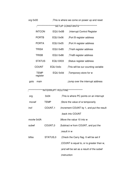# ;\*\*\*\*\*\*\*\*\*\*\*\*\*\*\*\*\*\*\*SETUP CONSTANTS\*\*\*\*\*\*\*\*\*\*\*\*\*\*\*\*\*\*\*

|      | <b>INTCON</b>           | EQU 0x0B        | ;Interrupt Control Register         |
|------|-------------------------|-----------------|-------------------------------------|
|      | <b>PORTB</b>            | EQU 0x06        | ; Port B register address           |
|      | <b>PORTA</b>            | EQU 0x05        | ; Port A register address           |
|      | <b>TRISA</b>            | <b>EQU 0x85</b> | ;TrisA register address             |
|      | <b>TRISB</b>            | EQU 0x86        | :TrisB register address             |
|      | <b>STATUS</b>           | EQU 0X03        | ;Status register address            |
|      | <b>COUNT</b>            | EQU 0x0c        | :This will be our counting variable |
|      | <b>TEMP</b><br>register | EQU 0x0d        | :Temporary store for w              |
| goto | main                    |                 | : Jump over the interrupt address   |

# ;\*\*\*\*\*\*\*\*\*\*\*\*\*\*\*INTERRUPT ROUTINE\*\*\*\*\*\*\*\*\*\*\*\*\*\*\*

| org        | 0x04        | This is where PC points on an interrupt    |
|------------|-------------|--------------------------------------------|
| movwf      | <b>TEMP</b> | Store the value of w temporarily           |
| incf       | COUNT,1     | Increment COUNT by 1, and put the result   |
|            |             | back into COUNT                            |
| movlw 0x0A |             | Move the value 10 into w                   |
| subwf      | COUNT,0     | Subtract w from COUNT, and put the         |
|            |             | :result in w                               |
| btfss      | STATUS,0    | Check the Carry flag. It will be set if    |
|            |             | ; COUNT is equal to, or is greater than w, |
|            |             | and will be set as a result of the subwf   |
|            |             | ;instruction                               |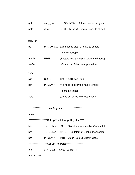| goto     | carry_on    | ; If COUNT is <10, then we can carry on                   |
|----------|-------------|-----------------------------------------------------------|
| goto     | clear       | ; If COUNT is >9, then we need to clear it                |
|          |             |                                                           |
| carry_on |             |                                                           |
| bcf      |             | INTCON, 0x01; We need to clear this flag to enable        |
|          |             | ;more interrupts                                          |
| movfw    | <b>TEMP</b> | ;Restore w to the value before the interrupt              |
| retfie   |             | ;Come out of the interrupt routine                        |
| clear    |             |                                                           |
| clrf     | COUNT       | ;Set COUNT back to 0                                      |
|          |             |                                                           |
| bcf      | INTCON, 1   | ;We need to clear this flag to enable                     |
|          |             | ; more interrupts                                         |
| retfie   |             | ;Come out of the interrupt routine                        |
|          |             |                                                           |
|          |             | .*******************Main Program**********************    |
| main     |             |                                                           |
|          |             | ;**********************Set Up The Interrupt Registers**** |
| bsf      |             | $INTCON, 7$ ; GIE – Global interrupt enable (1=enable)    |
| bsf      |             | INTCON,4 ; INTE - RB0 Interrupt Enable (1=enable)         |
| bcf      |             | INTCON,1 ; INTF - Clear FLag Bit Just In Case             |
|          |             | .********************Set Up The Ports******************   |
| bsf      |             | STATUS,5 ;Switch to Bank 1                                |
|          |             |                                                           |

movlw 0x01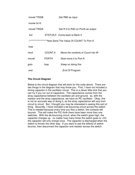| movwf TRISB |              | ;Set RB0 as input                                           |
|-------------|--------------|-------------------------------------------------------------|
| movlw 0x10  |              |                                                             |
| movwf TRISA |              | Set R 0 to RA3 on PortA as output                           |
| bcf         |              | STATUS,5 : Come back to Bank 0                              |
|             |              | .*********************Now Send The Value Of COUNT To Port A |
| loop        |              |                                                             |
| movf        | COUNT,0      | : Move the contents of Count into W                         |
| movwf       | <b>PORTA</b> | :Now move it to Port A                                      |
| goto        | loop         | :Keep on doing this                                         |
| end         |              | :End Of Program                                             |

## **The Circuit Diagram**

Below is the circuit diagram that will work for the code above. There are two things in the diagram that may throw you. First, I have not included a timing capacitor in the oscillator circuit. This is a clever little trick that you can try if you run out of capacitors. The capacitance comes from the stray capacitance between the oscillator pin and ground. so, with the resistor and the stray capacitance, we have an RC oscillator. Okay, this is not an accurate way of doing it, as the stray capacitance will vary from circuit to circuit. But, I thought you may be interested in seeing this sort of thing. Secondly, I have included a de-bouncing circuit across the switch. This is needed because every time you flick a switch, the contacts will bounce. This will make the PIC think there have been more than one switches. With the de-bouncing circuit, when the switch goes high, the capacitor charges up. no matter how many times the switch goes to  $+5V$ , the capacitor will only charge once. The capacitor is discharged when the switch is thrown the other way. If you want to see the effects of switch bounce, then disconnect the capacitor and resistor across the switch.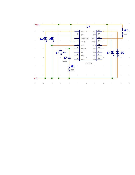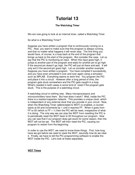# **Tutorial 13**

# **The Watchdog Timer**

We are now going to look at an internal timer, called a Watchdog Timer

So what is a Watchdog Timer?

Suppose you have written a program that is continuously running on a PIC. Now, you want to make sure that this program is always running, and that no matter what happens it will never stop. The first thing you would have, of course, is a loop back at the end of the program that brings us back to the start of the program. But consider this case. Let us say that the PIC is monitoring an input. When this input goes high, it jumps to another part of the program and waits for another pin to go high. If the second pin doesn't go high, the PIC will just sit there and wait. It will only exit if the second pin goes high. Let us consider another example. Suppose you have written a program. You have compiled it successfully, and you have even simulated it over and over again using a simulator such as MPLAB. Everything seems to work fine. You program the PIC and place it into a circuit. However after a long period of time, the program gets stuck somewhere and the PIC gets caught in a loop. What's needed in both cases is some kind of reset if the program gets stuck. This is the purpose of a watchdog circuit.

A watchdog circuit is nothing new. Many microprocessors and microcontrollers have them. But how does it work? Well, inside the PIC there is a resistor/capacitor network. This provides a unique clock, which is independent of any external clock that you provide in your circuit. Now, when the Watchdog Timer (abbreviated to WDT) is enabled, a counter starts at 00 and increments by 1 until it reaches FF. When it goes from FF to 00 (which is  $FF + 1$ ) then the PIC will be reset, irrespective of what it is doing. The only way we can stop the WDT from resetting the PIC is to periodically reset the WDT back to 00 throughout our program. Now you can see that if our program does get stuck for some reason, then the WDT will not be set. The WDT will then reset the PIC, causing our program to restart from the beginning.

In order to use the WDT, we need to know three things. First, how long have we got before we need to reset the WDT, secondly how do we clear it. Finally, we have to tell the PIC programming software to enable the WDT inside the PIC. Let's look at these separately.

### **WDT Times**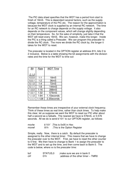The PIC data sheet specifies that the WDT has a period from start to finish of 18mS. This is dependant several factors, such as the supply voltage, temperature of the PIC etc. The reason for the approximation is because the WDT clock is supplied by an internal RC network. The time for an RC network to charge depends on the supply voltage. It also depends on the component values, which will change slightly depending on their temperature. So, for the sake of simplicity, just take it that the WDT will reset every 18mS. We can, however, make this longer. Inside the PIC is a thing called a Prescaler. We can program this prescaler to divide the RC clock. The more we divide the RC clock by, the longer it takes for the WDT to reset.

The prescaler is located in the OPTION register at address 81h, bits 0 to 2 inclusive. Below is a table showing the bit assignments with the division rates and the time for the WDT to time out:

| Bit     | Rate  | <b>WDT</b> Time   |
|---------|-------|-------------------|
| 2, 1, 0 |       |                   |
| 0, 0, 0 | 1:1   | 18mS              |
| 0, 0, 1 | 1:2   | 36mS              |
| 0, 1, 0 | 1:4   | 72mS              |
| 0, 1, 1 | 1:8   | 144m <sub>S</sub> |
| 1, 0, 0 | 1:16  | 288mS             |
| 1, 0, 1 | 1:32  | 576mS             |
| 1, 1, 0 | 1:64  | 1.1Seconds        |
| 1, 1, 1 | 1:128 | 2.3Seconds        |

Remember these times are irrespective of your external clock frequency. Think of these times as real time, rather than clock times. To help make this clear, let us suppose we want the WDT to reset our PIC after about half a second as a failsafe. The nearest we have is 576mS, or 0.576 seconds. All we do is send b'101' to our OPTION register, as follows:

| movlw |     | $b'101'$ : This is 0x05 in Hex |
|-------|-----|--------------------------------|
| movwf | 81h | ; This is the Option Register  |

Simple, really. Now, there is a catch. By default the prescaler is assigned to the other internal timer. This means that we have to change the prescaler over to the WDT. First, we have to reset the other counter to 0 first. We then have to change to Bank 1 to assign the prescaler to the WDT and to set up the time, and then come back to Bank 0. The code is below, where xx is the prescaler time:

| bcf  | STATUS,0 | ; make sure we are in bank 0       |
|------|----------|------------------------------------|
| clrf | 01h      | address of the other timer – TMR0; |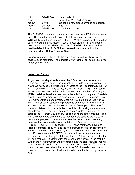| bsf    | STATUS,0      | : switch to bank 1                         |
|--------|---------------|--------------------------------------------|
| clrwdt |               | ; reset the WDT and prescaler              |
| movlw  | b'1xxx'       | ;Select the new prescaler value and assign |
| movwf  | <b>OPTION</b> | ∷it to WDT                                 |
| bcf    | STATUS,0      | : come back to bank 0                      |

The CLRWDT command above is how we clear the WDT before it resets the PIC. So, all we need to do is calculate where in our program the WDT will time out, and then enter the CLRWDT command just before this point to ensure the PIC doesn't reset. If your program is long, bear in mind that you may need more than one CLRWDT. For example, if we use the default time of 18mS, then we need to make sure that the program will see CLRWDT every 18mS.

So now we come to the point where we need to work out how long our code takes in real time. The principle is very simple, but could cause you to pull your hair out!

# **Instruction Timing**

As you are probably already aware, the PIC takes the external clock timing and divides it by 4. This internal time is called an instruction cycle. Now if we have, say, a 4MHz xtal connected to the PIC, internally the PIC will run at 1MHz. In timing terms, this is  $1/(4MHz/4) = 1 \text{uS}$ . Now, some instructions take just one instruction cycle to complete, i.e. 1uS using a 4MHz crystal, while others take two cycles – 2uS – to complete. The data sheet tells us how many cycles each instruction takes. The easiest way to remember this is quite simple. Assume ALL instructions take 1 cycle. But, if an instruction causes the program to go somewhere else, then it will take 2 cycles. Let me give you a couple of examples. The movwf command takes only one cycle, because it is only moving data from one place to another. The goto command takes 2 cycles, because it is causing the Program Counter (PC) to go elsewhere in the program. The RETURN command takes 2 cycles, because it is causing the PC to go back in the program. I think you can see the pattern here. However, there are four commands which can take 1 or 2 cycles. These are DECFSZ, INCFSZ, BTFSC and BTFSS. These commands have one thing in common. They will skip the next instruction is a certain condition is met. If that condition is not met, then the next instruction will be carried out. For example, the DECFSZ command will decrement the value stored in the F register by 1. If the result is not 0, then the next instruction will be executed. This instruction therefore takes 1 cycle. If the result is 0, then the next instruction will be skipped, and the one following that will be executed. In this instance the instruction takes 2 cycles. The reason is that the instruction alters the value of the PC. It needs one cycle to carry out the function, and it will need another to alter the PC by an extra one.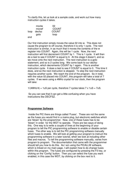To clarify this, let us look at a sample code, and work out how many instruction cycles it takes.

|      | movlw  | 02           |
|------|--------|--------------|
|      | movwf  | <b>COUNT</b> |
| loop | decfsz | <b>COUNT</b> |
|      | goto   | loop         |
| end  |        |              |

Our first instruction simply moves the value 02 into w. This does not cause the program to off course, therefore it is only 1 cycle. The next instruction is similar, in as much that it moves the contents of the w register into COUNT. Again, this will be 1 cycle. Now, the next instruction will first decrement COUNT by 1. This is 1 cycle. It will then do a test to see if COUNT is equal to 0. At this stage it doesn't, and so we move onto the next instruction. The next instruction is a goto statement, and so is 2 cycles long. We come back to our decfsz instruction, which decrements COUNT by 1 again. This is another instruction cycle. It does a test to see if COUNT is equal to 0. This time it does, and so the next instruction is skipped. To skip the next instruction requires another cycle. We reach the end of the program. So in total, with the value 02 placed into COUNT, this program will take a total of 7 cycles. If we were using a 4MHz crystal for our clock, then the program will take:

 $1/(4MHz/4) = 1uS$  per cycle, therefore 7 cycles takes 7 x  $1uS = 7uS$ .

So you can see that it can get a little confusing when you have instructions like DECFSZ.

### **Programmer Software**

Inside the PIC there are things called 'Fuses'. These are not the same as the fuses you would find in a mains plug, but electronic switches which are 'blown' by the programmer. Now, one of these fuses has to be 'blown' in order for the WDT to operate. There are two ways of doing this. One way is to write a couple of lines at the beginning of your program to tell the PIC programming software to enable or disable certain fuses. The other way is to tell the PIC programming software manually which fuses to enable. We will look at getting your program to instruct the programming software in a later tutorial, when we look at including other files and macros. To tell the programming software manually, varies from program to program. The documentation that came with the programmer should tell you how to do this. As I am using the PICALLW software, which is linked on my main page, I will explain how to do change fuses within this program. The fuses are configured by pressing the F3 key, or clicking on the 'Config' button. Then you can select the fuse you want enabled, in this case the WDT, by clicking on the box next to it.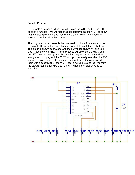#### **Sample Program**

Let us write a program, where we will turn on the WDT, and let the PIC perform a function. We will first of all periodically clear the WDT, to show that the program works, and then remove the CLRWDT command to show that the PIC will indeed reset.

The program I have chosen is the one used in tutorial 9 where we cause a row of LEDs to light up one at a time from left to right, then right to left. The circuit is shown below, and with the RC values shown will give us a clock frequency of 8KHz. This clock speed will allow us to actually see the LEDs moving one by one. I chose this program because it is slow enough for us to play with the WDT, and you can easily see when the PIC is reset. I have removed the original comments, and I have replaced them with a description of the WDT lines, a running total of the time from the start (assuming a 8KHz clock), and the number of clock cycles at each line.

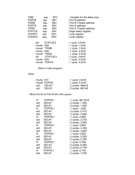| <b>TIME</b>   | equ          | 9FH      | ; Variable for the delay loop. |
|---------------|--------------|----------|--------------------------------|
| PORTB         | equ          | 06H      | ; Port B address.              |
| TRISB         | equ          | 86H      | : Port B Tristate address.     |
| PORTA         | equ          | 05H      | ; Port A address.              |
| TRISA         | equ          | 85H      | ; Port A Tristate address.     |
| <b>STATUS</b> | equ          | 03H      | ; Page select register.        |
| COUNT1        | equ          | 0CH      | ; Loop register.               |
| COUNT2        | equ          | 0DH      | : Loop register.               |
|               |              |          |                                |
| bsf           |              | STATUS,5 | $;1$ cycle, 0.5mS              |
| movlw         | 00H          |          | ; 1 cycle, 1.0mS               |
|               | movwf TRISB  |          | ; 1 cycle, 1.5mS               |
| movlw         | 00H          |          | ; 1 cycle, 2.0mS               |
| movwf         | <b>TRISA</b> |          | $;1$ cycle, $2.5mS$            |
| bcf           |              | STATUS,5 | ; 1 cycle, 3.0mS               |
| movlw         | 00H          |          | ; 1 cycle, 3.5mS               |
| movwf         | <b>PORTA</b> |          | $;1$ cycle, $4.0$ m $S$        |

; Start of main program

# RUN

| movlw 01H |              | ; 1 cycle, $4.5mS$  |
|-----------|--------------|---------------------|
|           | movwf PORTB  | $;1$ cycle, 5.0mS   |
| call      | <b>DELAY</b> | $; 2$ cycles, 486mS |
| call      | <b>DELAY</b> | $; 2$ cycles, 967mS |

; Move the bit on Port B left, then pause.

| rlf  | PORTB,1      | ; 1 cycle, 967.5mS |
|------|--------------|--------------------|
| call | DELAY        | ; 2 cycles, 1.45S  |
| call | <b>DELAY</b> | ; 2 cycles, 1.93S  |
| rlf  | PORTB,1      | ; 1 cycle, 1.93S   |
| call | <b>DELAY</b> | ; 2 cycles, 2.41S  |
| call | <b>DELAY</b> | ; 2 cycles, 2.89S  |
| rlf  | PORTB,1      | ; 1 cycle, 2.89S   |
| call | <b>DELAY</b> | ; 2 cycles, 3.37S  |
| call | <b>DELAY</b> | ; 2 cycles, 3.85S  |
| rlf  | PORTB,1      | : 1 cycle, 3.85S   |
| call | DELAY        | ; 2 cycles, 4.34S  |
| call | DELAY        | ; 2 cycles, 4.82S  |
| rlf  | PORTB,1      | ; 1 cycle, 4.82S   |
| call | DELAY        | ; 2 cycles, 5.30S  |
| call | DELAY        | ; 2 cycles, 5.78S  |
| rlf  | PORTB,1      | ; 1 cycle, 5.78S   |
| call | <b>DELAY</b> | : 2 cycles, 6.26S  |
| call | <b>DELAY</b> | ; 2 cycles, 6.74S  |
| rlf  | PORTB,1      | : 1 cycle, 6.74S   |
| call | <b>DELAY</b> | ; 2 cycles, 7.22S  |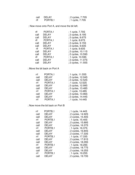| call | DELAY               | ; 2 cycles, 7.70S |
|------|---------------------|-------------------|
| rlf  | PORTB <sub>,1</sub> | ; 1 cycle, 7.70S  |

; Now move onto Port A, and move the bit left.

| rlf  | PORTA,1      | ; 1 cycle, 7.70S   |
|------|--------------|--------------------|
| call | <b>DELAY</b> | ; 2 cycles, 8.19S  |
| call | <b>DELAY</b> | ; 2 cycles, 8.67S  |
| rlf  | PORTA,1      | ; 1 cycle, 8.67S   |
| call | <b>DELAY</b> | ; 2 cycles, 9.15S  |
| call | <b>DELAY</b> | ; 2 cycles, 9.63S  |
| rlf  | PORTA,1      | ; 1 cycle, 9.63S   |
| call | <b>DELAY</b> | ; 2 cycles, 10.11S |
| call | <b>DELAY</b> | : 2 cycles, 10.59S |
| rlf  | PORTA,1      | ; 1 cycle, 10.59S  |
| call | <b>DELAY</b> | ; 2 cycles, 11.07S |
| call | <b>DELAY</b> | ; 2 cycles, 11.55S |

; Move the bit back on Port A

| rrf  | PORTA,1             | : 1 cycle, 11.55S  |
|------|---------------------|--------------------|
| call | <b>DELAY</b>        | ; 2 cycles, 12.04S |
| call | <b>DELAY</b>        | : 2 cycles, 12.52S |
| rrf  | PORTA <sub>.1</sub> | : 1 cycle, 12.52S  |
| call | <b>DELAY</b>        | ; 2 cycles, 12.99S |
| call | <b>DELAY</b>        | ; 2 cycles, 13.48S |
| rrf  | PORTA <sub>.1</sub> | : 1 cycle, 13.48S  |
| call | <b>DELAY</b>        | ; 2 cycles, 13.96S |
| call | <b>DELAY</b>        | ; 2 cycles, 14.44S |
| rrf  | PORTA,1             | : 1 cycle, 14.44S  |
|      |                     |                    |

; Now move the bit back on Port B

| rrf  | PORTB.1      | ; 1 cycle, 14.44S  |
|------|--------------|--------------------|
| call | <b>DELAY</b> | ; 2 cycles, 14.92S |
| call | DELAY        | ; 2 cycles, 15.40S |
| rrf  | PORTB,1      | ; 1 cycle, 15.40S  |
| call | DELAY        | ; 2 cycles, 15.89S |
| call | DELAY        | : 2 cycles, 16.37S |
| rrf  | PORTB,1      | ; 1 cycle, 16.37S  |
| call | DELAY        | ; 2 cycles, 16.84S |
| call | DELAY        | ; 2 cycles, 17.33S |
| rrf  | PORTB,1      | : 1 cycle, 17.33S  |
| call | DELAY        | ; 2 cycles, 17.81S |
| call | DELAY        | ; 2 cycles, 18.29S |
| rrf  | PORTB,1      | : 1 cycle, 18.29S  |
| call | DELAY        | ; 2 cycles, 18.77S |
| call | <b>DELAY</b> | ; 2 cycles, 19.25S |
| rrf  | PORTB,1      | ; 1 cycle, 19.25S  |
| call | <b>DELAY</b> | ; 2 cycles, 19.73S |
|      |              |                    |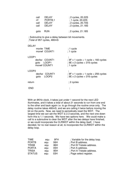| call | <b>DELAY</b>        | ; 2 cycles, 20.22S |
|------|---------------------|--------------------|
| rrf  | PORTB <sub>.1</sub> | ; 1 cycle, 20.22S  |
| call | <b>DELAY</b>        | ; 2 cycles, 20.70S |
| call | <b>DELAY</b>        | ; 2 cycles, 21.18S |
|      |                     |                    |
| goto | <b>RUN</b>          | ; 2 cycles, 21.18S |

; Subroutine to give a delay between bit movements. ;Total of 957 cycles, 480mS

| <b>DELAY</b> |                           |                                              |
|--------------|---------------------------|----------------------------------------------|
|              | movlw TIME                | ; 1 cycle                                    |
|              | movwf COUNT1              | ; 1 cycle                                    |
| LOOP1        |                           |                                              |
|              | decfsz COUNT1             | ; $9F \times 1$ cycle + 1 cycle = 160 cycles |
|              | goto LOOP1                | $: 9E \times 2$ cycles = 316 cycles          |
|              | movwf COUNT1              | ; 1 cycle                                    |
|              |                           |                                              |
|              |                           |                                              |
| LOOP2        |                           |                                              |
|              | decfsz COUNT1             | $9F \times 1$ cycle + 1 cycle = 256 cycles   |
|              | LOOP <sub>2</sub><br>goto | $: 9E \times 2$ cycles = 316 cycles          |
|              |                           |                                              |
| return       |                           | ; 2 cycles                                   |
|              |                           |                                              |

With an 8KHz clock, it takes just under 1 second for the next LED illuminates, and it takes a total of about 21 seconds to run from one end to the other and back again i.e. to go through the routine once only. The delay routine takes 480mS, and we are calling it twice before moving the bit on the ports. Now, we need to periodically reset the WDT. The largest time we can set the WDT is 2.3 seconds, and the next one down form this is 1.1 seconds. We have two options here. We could make a call to a subroutine to clear the WDT after the two delays have finished, or we could incorporate the CLRWDT within the delay itself. I have decided, for no real reason at all, to incorporate the CLRWDT within the delay loop.

| <b>TIME</b>   | eau | 9FH. | : Variable for the delay loop. |
|---------------|-----|------|--------------------------------|
| <b>PORTB</b>  | eau | 06H  | : Port B address.              |
| <b>TRISB</b>  | eau | 86H  | ; Port B Tristate address.     |
| <b>PORTA</b>  | eau | 05H  | : Port A address.              |
| <b>TRISA</b>  | eau | 85H  | ; Port A Tristate address.     |
| <b>STATUS</b> | equ | 03H  | ; Page select register.        |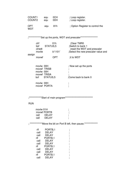| COUNT1<br>COUNT2                                                                 |                                            | equ<br>equ                                                                         | 0CH<br>0DH | ; Loop register.<br>; Loop register.                                  |
|----------------------------------------------------------------------------------|--------------------------------------------|------------------------------------------------------------------------------------|------------|-----------------------------------------------------------------------|
| OPT.<br><b>WDT</b>                                                               |                                            | equ                                                                                | 81h        | ; Option Register to control the                                      |
|                                                                                  |                                            |                                                                                    |            | ;**************Set up the ports, WDT and prescaler******************* |
| assign                                                                           | clrf                                       | bsf STATUS,5                                                                       | 01h        | ;Clear TMR0<br>;Switch to bank 1                                      |
|                                                                                  | clrwdt<br>movlw                            |                                                                                    | b'1101'    | ; reset the WDT and prescaler<br>;Select the new prescaler value and  |
|                                                                                  | movwf                                      |                                                                                    | <b>OPT</b> | ;it to WDT                                                            |
|                                                                                  | movlw 00H<br>movlw 00H<br>bcf              | movwf TRISB<br>movwf TRISA<br>STATUS,5                                             |            | ; Now set up the ports<br>;Come back to bank 0                        |
|                                                                                  | movlw 00H                                  | movwf PORTA                                                                        |            | ,                                                                     |
| ***************Start of main program******************************<br><b>RUN</b> |                                            |                                                                                    |            |                                                                       |
|                                                                                  | movlw 01H<br>call<br>call                  | movwf PORTB<br>DELAY<br><b>DELAY</b>                                               |            |                                                                       |
| **************Move the bit on Port B left, then pause.***************            |                                            |                                                                                    |            |                                                                       |
|                                                                                  | rlf<br>call<br>call<br>rlf<br>call<br>اادہ | PORTB,1<br><b>DELAY</b><br><b>DELAY</b><br>PORTB,1<br><b>DELAY</b><br><b>DELAV</b> |            |                                                                       |

call DELAY<br>
rlf PORTB,1<br>
call DELAY<br>
call DELAY<br>
rlf PORTB,1<br>
call DELAY<br>
call DELAY<br>
; rlf PORTB,1<br>call DELAY call DELAY ; call DELAY ;

rlf PORTB,1 ; call DELAY ;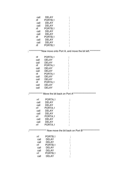| call | <b>DELAY</b> | j.            |
|------|--------------|---------------|
| rlf  | PORTB,1      |               |
| call | <b>DELAY</b> | $\frac{1}{2}$ |
| call | DELAY        | ;             |
| rlf  | PORTB,1      | ;             |
| call | <b>DELAY</b> | ;             |
| call | DELAY        | $\frac{1}{2}$ |
| rlf  | PORTB,1      |               |
| call | <b>DELAY</b> | ;             |
| call | <b>DELAY</b> |               |
| rlf  | PORTB.1      | J             |
|      |              |               |

; \*\*\*\*\*\*\*\*\*\*\*\*\*Now move onto Port A, and move the bit left.\*\*\*\*\*\*\*\*\*\*\*

| rlf  | PORTA,1      | ,      |
|------|--------------|--------|
| call | <b>DELAY</b> | ;      |
| call | <b>DELAY</b> | ;      |
| rlf  | PORTA,1      | ;      |
| call | <b>DELAY</b> | ;      |
| call | DELAY        |        |
| rlf  | PORTA,1      | ;<br>; |
| call | <b>DELAY</b> | ;      |
| call | <b>DELAY</b> | ;      |
| rlf  | PORTA,1      |        |
| call | <b>DELAY</b> | ;      |
| call | DELAY        | J      |
|      |              |        |

:\*\*\*\*\*\*\*\*\*\*\*\*\*\*\*\* Move the bit back on Port A\*\*\*\*\*\*\*\*\*\*\*\*\*\*\*\*\*\*\*\*\*\*\*\*\*

| rrf  | PORTA,1      |  |
|------|--------------|--|
| call | <b>DELAY</b> |  |
| call | <b>DELAY</b> |  |
| rrf  | PORTA,1      |  |
| call | <b>DELAY</b> |  |
| call | <b>DELAY</b> |  |
| rrf  | PORTA,1      |  |
| call | <b>DELAY</b> |  |
| call | <b>DELAY</b> |  |
| rrf  | PORTA,1      |  |
|      |              |  |

\*\*\*\*\*\*\*\*\*\*\*\*\*\*\*\* Now move the bit back on Port B\*\*\*\*\*\*\*\*\*\*\*\*\*\*\*\*\*\*\*

| rrf  | PORTB,1             |  |
|------|---------------------|--|
| call | <b>DELAY</b>        |  |
| call | <b>DELAY</b>        |  |
| rrf  | PORTB <sub>,1</sub> |  |
| call | <b>DELAY</b>        |  |
| call | <b>DELAY</b>        |  |
| rrf  | PORTB,1             |  |
| call | <b>DELAY</b>        |  |
|      |                     |  |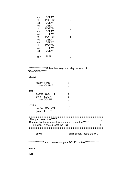| call | DELAY        | ,                        |
|------|--------------|--------------------------|
| rrf  | PORTB,1      | ٠,                       |
| call | <b>DELAY</b> | ,                        |
| call | <b>DELAY</b> | $\mathbf{I}$             |
| rrf  | PORTB,1      | $\overline{\phantom{a}}$ |
| call | <b>DELAY</b> | $\pmb{\mathfrak{z}}$     |
| call | DELAY        | $\pmb{\mathfrak{z}}$     |
| rrf  | PORTB,1      | $\overline{ }$           |
| call | <b>DELAY</b> | ,                        |
| call | <b>DELAY</b> | $\overline{\phantom{a}}$ |
| rrf  | PORTB,1      | $\overline{\phantom{a}}$ |
| call | <b>DELAY</b> | $\overline{\phantom{a}}$ |
| call | DELAY        | ÷                        |
|      |              |                          |
| goto | RUN          |                          |
|      |              | ,                        |

; \*\*\*\*\*\*\*\*\*\*\*\*\*\*\*\*\*\*\*\*Subroutine to give a delay between bit movements.\*\*\*\*\*\*

# DELAY

| movlw TIME<br>movwf COUNT1                                                                                                                        |                               |  |  |  |
|---------------------------------------------------------------------------------------------------------------------------------------------------|-------------------------------|--|--|--|
| LOOP1<br>decfsz COUNT1<br>goto LOOP1<br>movwf COUNT1                                                                                              |                               |  |  |  |
| LOOP <sub>2</sub><br>decfsz COUNT1<br>goto LOOP2                                                                                                  |                               |  |  |  |
| $\cdot$ ; This part resets the WDT<br>,,<br>::Comment out or remove this command to see the WDT<br>,,<br>in action. It should reset the PIC<br>11 |                               |  |  |  |
| clrwdt                                                                                                                                            | ; This simply resets the WDT. |  |  |  |
| ****************Return from our original DELAY routine****************                                                                            |                               |  |  |  |
| return                                                                                                                                            | J,                            |  |  |  |
| END                                                                                                                                               | J.                            |  |  |  |